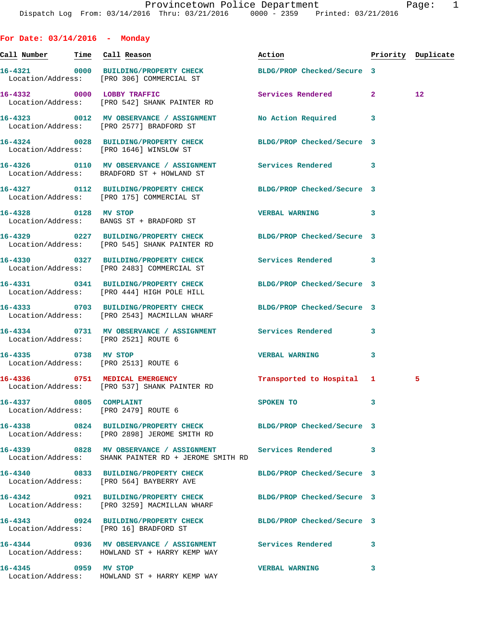| For Date: $03/14/2016$ - Monday                                |                                                                                                                   |                            |              |                    |
|----------------------------------------------------------------|-------------------------------------------------------------------------------------------------------------------|----------------------------|--------------|--------------------|
| <u>Call Number — Time Call Reason</u>                          |                                                                                                                   | Action                     |              | Priority Duplicate |
|                                                                | 16-4321 0000 BUILDING/PROPERTY CHECK BLDG/PROP Checked/Secure 3<br>Location/Address: [PRO 306] COMMERCIAL ST      |                            |              |                    |
|                                                                | 16-4332 0000 LOBBY TRAFFIC<br>Location/Address: [PRO 542] SHANK PAINTER RD                                        | Services Rendered          | $\mathbf{2}$ | $12 \overline{ }$  |
|                                                                | 16-4323 0012 MV OBSERVANCE / ASSIGNMENT<br>Location/Address: [PRO 2577] BRADFORD ST                               | No Action Required         | 3            |                    |
|                                                                | 16-4324 0028 BUILDING/PROPERTY CHECK<br>Location/Address: [PRO 1646] WINSLOW ST                                   | BLDG/PROP Checked/Secure 3 |              |                    |
|                                                                | 16-4326   0110 MV OBSERVANCE / ASSIGNMENT   Services Rendered   3<br>Location/Address: BRADFORD ST + HOWLAND ST   |                            |              |                    |
|                                                                | 16-4327 0112 BUILDING/PROPERTY CHECK<br>Location/Address: [PRO 175] COMMERCIAL ST                                 | BLDG/PROP Checked/Secure 3 |              |                    |
| 16-4328 0128 MV STOP                                           | Location/Address: BANGS ST + BRADFORD ST                                                                          | <b>VERBAL WARNING</b>      | 3            |                    |
|                                                                | 16-4329 0227 BUILDING/PROPERTY CHECK<br>Location/Address: [PRO 545] SHANK PAINTER RD                              | BLDG/PROP Checked/Secure 3 |              |                    |
|                                                                | 16-4330 0327 BUILDING/PROPERTY CHECK<br>Location/Address: [PRO 2483] COMMERCIAL ST                                | <b>Services Rendered</b>   | 3            |                    |
|                                                                | 16-4331 0341 BUILDING/PROPERTY CHECK BLDG/PROP Checked/Secure 3<br>Location/Address: [PRO 444] HIGH POLE HILL     |                            |              |                    |
|                                                                | 16-4333 0703 BUILDING/PROPERTY CHECK<br>Location/Address: [PRO 2543] MACMILLAN WHARF                              | BLDG/PROP Checked/Secure 3 |              |                    |
| Location/Address: [PRO 2521] ROUTE 6                           | 16-4334 0731 MV OBSERVANCE / ASSIGNMENT Services Rendered                                                         |                            | 3            |                    |
| 16-4335 0738 MV STOP<br>Location/Address: [PRO 2513] ROUTE 6   |                                                                                                                   | <b>VERBAL WARNING</b>      | 3            |                    |
|                                                                | 16-4336 0751 MEDICAL EMERGENCY<br>Location/Address: [PRO 537] SHANK PAINTER RD                                    | Transported to Hospital 1  |              | 5                  |
| 16-4337 0805 COMPLAINT<br>Location/Address: [PRO 2479] ROUTE 6 |                                                                                                                   | SPOKEN TO                  | 3            |                    |
|                                                                | 16-4338 0824 BUILDING/PROPERTY CHECK BLDG/PROP Checked/Secure 3<br>Location/Address: [PRO 2898] JEROME SMITH RD   |                            |              |                    |
|                                                                | 16-4339 6828 MV OBSERVANCE / ASSIGNMENT Services Rendered<br>Location/Address: SHANK PAINTER RD + JEROME SMITH RD |                            | 3            |                    |
|                                                                | 16-4340 0833 BUILDING/PROPERTY CHECK<br>Location/Address: [PRO 564] BAYBERRY AVE                                  | BLDG/PROP Checked/Secure 3 |              |                    |
|                                                                | 16-4342 0921 BUILDING/PROPERTY CHECK BLDG/PROP Checked/Secure 3<br>Location/Address: [PRO 3259] MACMILLAN WHARF   |                            |              |                    |
| Location/Address: [PRO 16] BRADFORD ST                         | 16-4343 0924 BUILDING/PROPERTY CHECK BLDG/PROP Checked/Secure 3                                                   |                            |              |                    |
|                                                                | 16-4344 0936 MV OBSERVANCE / ASSIGNMENT Services Rendered<br>Location/Address: HOWLAND ST + HARRY KEMP WAY        |                            | 3            |                    |
| 16-4345 0959 MV STOP                                           |                                                                                                                   | <b>VERBAL WARNING</b>      | 3            |                    |

Location/Address: HOWLAND ST + HARRY KEMP WAY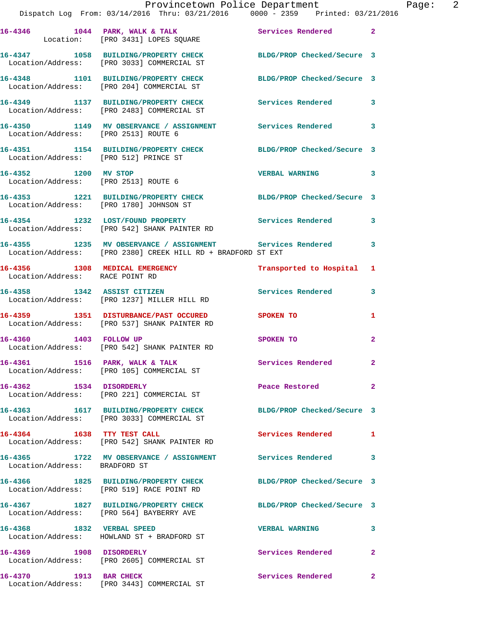|                                       | Provincetown Police Department The Page: 2<br>Dispatch Log From: 03/14/2016 Thru: 03/21/2016 0000 - 2359 Printed: 03/21/2016 |                            |              |
|---------------------------------------|------------------------------------------------------------------------------------------------------------------------------|----------------------------|--------------|
|                                       | 16-4346 1044 PARK, WALK & TALK Services Rendered 2<br>Location: [PRO 3431] LOPES SQUARE                                      |                            |              |
|                                       | 16-4347 1058 BUILDING/PROPERTY CHECK BLDG/PROP Checked/Secure 3<br>Location/Address: [PRO 3033] COMMERCIAL ST                |                            |              |
|                                       | 16-4348 1101 BUILDING/PROPERTY CHECK BLDG/PROP Checked/Secure 3<br>Location/Address: [PRO 204] COMMERCIAL ST                 |                            |              |
|                                       | 16-4349 1137 BUILDING/PROPERTY CHECK Services Rendered 3<br>Location/Address: [PRO 2483] COMMERCIAL ST                       |                            |              |
| Location/Address: [PRO 2513] ROUTE 6  | 16-4350 1149 MV OBSERVANCE / ASSIGNMENT Services Rendered 3                                                                  |                            |              |
| Location/Address: [PRO 512] PRINCE ST | 16-4351 1154 BUILDING/PROPERTY CHECK BLDG/PROP Checked/Secure 3                                                              |                            |              |
|                                       | 16-4352 1200 MV STOP<br>Location/Address: [PRO 2513] ROUTE 6                                                                 | <b>VERBAL WARNING 3</b>    |              |
|                                       | 16-4353 1221 BUILDING/PROPERTY CHECK BLDG/PROP Checked/Secure 3<br>Location/Address: [PRO 1780] JOHNSON ST                   |                            |              |
|                                       | 16-4354 1232 LOST/FOUND PROPERTY Services Rendered 3<br>Location/Address: [PRO 542] SHANK PAINTER RD                         |                            |              |
|                                       | 16-4355 1235 MV OBSERVANCE / ASSIGNMENT Services Rendered 3<br>Location/Address: [PRO 2380] CREEK HILL RD + BRADFORD ST EXT  |                            |              |
| Location/Address: RACE POINT RD       | 16-4356 1308 MEDICAL EMERGENCY 1 Transported to Hospital 1                                                                   |                            |              |
|                                       | 16-4358 1342 ASSIST CITIZEN<br>Location/Address: [PRO 1237] MILLER HILL RD                                                   | Services Rendered          | 3            |
|                                       | 16-4359 1351 DISTURBANCE/PAST OCCURED SPOKEN TO<br>Location/Address: [PRO 537] SHANK PAINTER RD                              |                            | 1            |
|                                       | 16-4360 1403 FOLLOW UP<br>Location/Address: [PRO 542] SHANK PAINTER RD                                                       | <b>SPOKEN TO</b>           | $\mathbf{2}$ |
|                                       | 16-4361 1516 PARK, WALK & TALK<br>Location/Address: [PRO 105] COMMERCIAL ST                                                  | Services Rendered          | 2            |
| 16-4362 1534 DISORDERLY               | Location/Address: [PRO 221] COMMERCIAL ST                                                                                    | Peace Restored             | $\mathbf{2}$ |
|                                       | 16-4363 1617 BUILDING/PROPERTY CHECK<br>Location/Address: [PRO 3033] COMMERCIAL ST                                           | BLDG/PROP Checked/Secure 3 |              |
| 16-4364 1638 TTY TEST CALL            | Location/Address: [PRO 542] SHANK PAINTER RD                                                                                 | Services Rendered 1        |              |
| Location/Address: BRADFORD ST         | 16-4365 1722 MV OBSERVANCE / ASSIGNMENT Services Rendered                                                                    |                            | 3            |
|                                       | 16-4366 1825 BUILDING/PROPERTY CHECK BLDG/PROP Checked/Secure 3<br>Location/Address: [PRO 519] RACE POINT RD                 |                            |              |
|                                       |                                                                                                                              | BLDG/PROP Checked/Secure 3 |              |
| 16-4368 1832 VERBAL SPEED             | Location/Address: HOWLAND ST + BRADFORD ST                                                                                   | <b>VERBAL WARNING</b>      | 3            |
|                                       | 16-4369 1908 DISORDERLY<br>Location/Address: [PRO 2605] COMMERCIAL ST                                                        | Services Rendered          | $\mathbf{2}$ |
| 16-4370 1913 BAR CHECK                |                                                                                                                              | Services Rendered          | $\mathbf{2}$ |

Location/Address: [PRO 3443] COMMERCIAL ST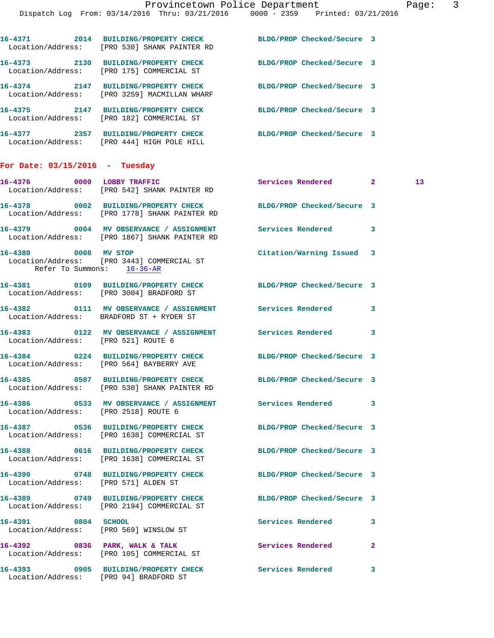|                                  |      | Location/Address: [PRO 530] SHANK PAINTER RD                                       | BLDG/PROP Checked/Secure 3 |  |
|----------------------------------|------|------------------------------------------------------------------------------------|----------------------------|--|
| 16-4373                          | 2130 | BUILDING/PROPERTY CHECK<br>Location/Address: [PRO 175] COMMERCIAL ST               | BLDG/PROP Checked/Secure 3 |  |
| 16-4374                          |      | 2147 BUILDING/PROPERTY CHECK<br>Location/Address: [PRO 3259] MACMILLAN WHARF       | BLDG/PROP Checked/Secure 3 |  |
| 16-4375 2147                     |      | BUILDING/PROPERTY CHECK<br>Location/Address: [PRO 182] COMMERCIAL ST               | BLDG/PROP Checked/Secure 3 |  |
|                                  |      | 16-4377 2357 BUILDING/PROPERTY CHECK<br>Location/Address: [PRO 444] HIGH POLE HILL | BLDG/PROP Checked/Secure 3 |  |
| For Date: $03/15/2016$ - Tuesday |      |                                                                                    |                            |  |

| 16-4376 0000 LOBBY TRAFFIC                         | Location/Address: [PRO 542] SHANK PAINTER RD                                                                     | Services Rendered 2        |                | 13 <sub>1</sub> |
|----------------------------------------------------|------------------------------------------------------------------------------------------------------------------|----------------------------|----------------|-----------------|
|                                                    | 16-4378 0002 BUILDING/PROPERTY CHECK BLDG/PROP Checked/Secure 3<br>Location/Address: [PRO 1778] SHANK PAINTER RD |                            |                |                 |
|                                                    | 16-4379 0004 MV OBSERVANCE / ASSIGNMENT Services Rendered 3<br>Location/Address: [PRO 1867] SHANK PAINTER RD     |                            |                |                 |
| 16-4380 0008 MV STOP<br>Refer To Summons: 16-36-AR | Location/Address: [PRO 3443] COMMERCIAL ST                                                                       | Citation/Warning Issued 3  |                |                 |
|                                                    | 16-4381 0109 BUILDING/PROPERTY CHECK BLDG/PROP Checked/Secure 3<br>Location/Address: [PRO 3004] BRADFORD ST      |                            |                |                 |
|                                                    | 16-4382 0111 MV OBSERVANCE / ASSIGNMENT Services Rendered 3<br>Location/Address: BRADFORD ST + RYDER ST          |                            |                |                 |
| Location/Address: [PRO 521] ROUTE 6                | 16-4383 0122 MV OBSERVANCE / ASSIGNMENT Services Rendered 3                                                      |                            |                |                 |
|                                                    | 16-4384 0224 BUILDING/PROPERTY CHECK BLDG/PROP Checked/Secure 3<br>Location/Address: [PRO 564] BAYBERRY AVE      |                            |                |                 |
|                                                    | 16-4385 0507 BUILDING/PROPERTY CHECK<br>Location/Address: [PRO 530] SHANK PAINTER RD                             | BLDG/PROP Checked/Secure 3 |                |                 |
| Location/Address: [PRO 2518] ROUTE 6               | 16-4386 6533 MV OBSERVANCE / ASSIGNMENT Services Rendered 3                                                      |                            |                |                 |
|                                                    | 16-4387 0536 BUILDING/PROPERTY CHECK<br>Location/Address: [PRO 1638] COMMERCIAL ST                               | BLDG/PROP Checked/Secure 3 |                |                 |
|                                                    | 16-4388 0616 BUILDING/PROPERTY CHECK<br>Location/Address: [PRO 1638] COMMERCIAL ST                               | BLDG/PROP Checked/Secure 3 |                |                 |
| Location/Address: [PRO 571] ALDEN ST               | 16-4390 0748 BUILDING/PROPERTY CHECK                                                                             | BLDG/PROP Checked/Secure 3 |                |                 |
|                                                    | 16-4389 0749 BUILDING/PROPERTY CHECK<br>Location/Address: [PRO 2194] COMMERCIAL ST                               | BLDG/PROP Checked/Secure 3 |                |                 |
| 16-4391 0804 SCHOOL                                | Location/Address: [PRO 569] WINSLOW ST                                                                           | <b>Services Rendered</b>   | 3              |                 |
|                                                    | 16-4392 0836 PARK, WALK & TALK<br>Location/Address: [PRO 105] COMMERCIAL ST                                      | Services Rendered          | $\overline{2}$ |                 |
|                                                    | 16-4393 0905 BUILDING/PROPERTY CHECK                                                                             | Services Rendered          | 3              |                 |

Location/Address: [PRO 94] BRADFORD ST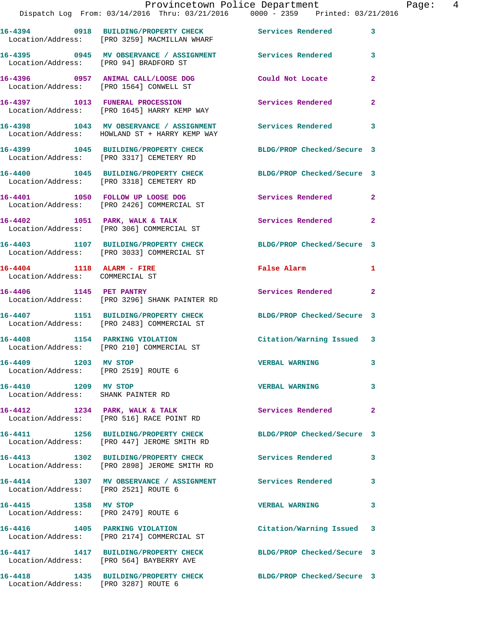|                                                              | 16-4394 0918 BUILDING/PROPERTY CHECK<br>Location/Address: [PRO 3259] MACMILLAN WHARF     | Services Rendered 3                                    |                            |
|--------------------------------------------------------------|------------------------------------------------------------------------------------------|--------------------------------------------------------|----------------------------|
| Location/Address: [PRO 94] BRADFORD ST                       | 16-4395 		 0945 MV OBSERVANCE / ASSIGNMENT Services Rendered                             |                                                        | $\mathbf{3}$               |
|                                                              | 16-4396 0957 ANIMAL CALL/LOOSE DOG<br>Location/Address: [PRO 1564] CONWELL ST            | Could Not Locate                                       | $\overline{a}$             |
|                                                              | 16-4397 1013 FUNERAL PROCESSION<br>Location/Address: [PRO 1645] HARRY KEMP WAY           | Services Rendered                                      | $\mathbf{2}$               |
|                                                              | 16-4398 1043 MV OBSERVANCE / ASSIGNMENT<br>Location/Address: HOWLAND ST + HARRY KEMP WAY | <b>Services Rendered</b><br>$\overline{\phantom{a}}$ 3 |                            |
|                                                              | 16-4399 1045 BUILDING/PROPERTY CHECK<br>Location/Address: [PRO 3317] CEMETERY RD         | BLDG/PROP Checked/Secure 3                             |                            |
|                                                              | 16-4400 1045 BUILDING/PROPERTY CHECK<br>Location/Address: [PRO 3318] CEMETERY RD         | BLDG/PROP Checked/Secure 3                             |                            |
|                                                              | 16-4401 1050 FOLLOW UP LOOSE DOG<br>Location/Address: [PRO 2426] COMMERCIAL ST           | Services Rendered 2                                    |                            |
|                                                              | 16-4402 1051 PARK, WALK & TALK<br>Location/Address: [PRO 306] COMMERCIAL ST              | Services Rendered 2                                    |                            |
|                                                              | 16-4403 1107 BUILDING/PROPERTY CHECK<br>Location/Address: [PRO 3033] COMMERCIAL ST       | BLDG/PROP Checked/Secure 3                             |                            |
| 16-4404 1118 ALARM - FIRE<br>Location/Address: COMMERCIAL ST |                                                                                          | False Alarm                                            | 1                          |
|                                                              | 16-4406 1145 PET PANTRY<br>Location/Address: [PRO 3296] SHANK PAINTER RD                 | Services Rendered                                      | $\mathbf{2}$               |
|                                                              | 16-4407 1151 BUILDING/PROPERTY CHECK<br>Location/Address: [PRO 2483] COMMERCIAL ST       | BLDG/PROP Checked/Secure 3                             |                            |
|                                                              | 16-4408 1154 PARKING VIOLATION<br>Location/Address: [PRO 210] COMMERCIAL ST              | Citation/Warning Issued 3                              |                            |
| 16-4409 1203 MV STOP<br>Location/Address: [PRO 2519] ROUTE 6 |                                                                                          | <b>VERBAL WARNING</b>                                  | 3                          |
| 16-4410 1209 MV STOP<br>Location/Address: SHANK PAINTER RD   |                                                                                          | <b>VERBAL WARNING</b>                                  | 3                          |
| 16-4412 1234 PARK, WALK & TALK                               | Location/Address: [PRO 516] RACE POINT RD                                                | Services Rendered                                      | $\overline{\phantom{0}}$ 2 |
|                                                              | 16-4411 1256 BUILDING/PROPERTY CHECK<br>Location/Address: [PRO 447] JEROME SMITH RD      | BLDG/PROP Checked/Secure 3                             |                            |
|                                                              | 16-4413 1302 BUILDING/PROPERTY CHECK<br>Location/Address: [PRO 2898] JEROME SMITH RD     | <b>Services Rendered</b>                               | $\mathbf{3}$               |
| Location/Address: [PRO 2521] ROUTE 6                         | 16-4414 1307 MV OBSERVANCE / ASSIGNMENT Services Rendered                                |                                                        | $\mathbf{3}$               |
| 16-4415 1358 MV STOP<br>Location/Address: [PRO 2479] ROUTE 6 |                                                                                          | <b>VERBAL WARNING</b>                                  | $\mathbf{3}$               |
|                                                              | 16-4416 1405 PARKING VIOLATION<br>Location/Address: [PRO 2174] COMMERCIAL ST             | Citation/Warning Issued 3                              |                            |
|                                                              | 16-4417 1417 BUILDING/PROPERTY CHECK<br>Location/Address: [PRO 564] BAYBERRY AVE         | BLDG/PROP Checked/Secure 3                             |                            |
| Location/Address: [PRO 3287] ROUTE 6                         | 16-4418 1435 BUILDING/PROPERTY CHECK                                                     | BLDG/PROP Checked/Secure 3                             |                            |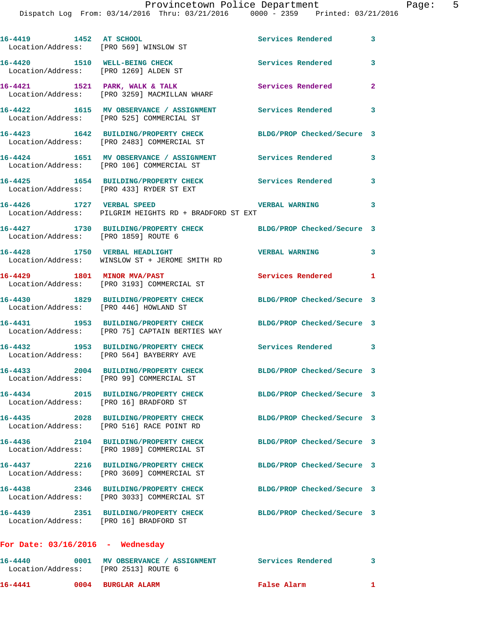| 16-4419 1452 AT SCHOOL<br>Location/Address: [PRO 569] WINSLOW ST       |                                                                                        | Services Rendered          | $\overline{\mathbf{3}}$    |
|------------------------------------------------------------------------|----------------------------------------------------------------------------------------|----------------------------|----------------------------|
| 16-4420 1510 WELL-BEING CHECK<br>Location/Address: [PRO 1269] ALDEN ST |                                                                                        | <b>Services Rendered</b>   | 3                          |
|                                                                        | 16-4421 1521 PARK, WALK & TALK<br>Location/Address: [PRO 3259] MACMILLAN WHARF         | Services Rendered          | $\overline{2}$             |
|                                                                        | 16-4422 1615 MV OBSERVANCE / ASSIGNMENT<br>Location/Address: [PRO 525] COMMERCIAL ST   | Services Rendered          | 3                          |
|                                                                        | 16-4423 1642 BUILDING/PROPERTY CHECK<br>Location/Address: [PRO 2483] COMMERCIAL ST     | BLDG/PROP Checked/Secure 3 |                            |
|                                                                        | 16-4424 1651 MV OBSERVANCE / ASSIGNMENT<br>Location/Address: [PRO 106] COMMERCIAL ST   | Services Rendered          | 3                          |
|                                                                        | 16-4425 1654 BUILDING/PROPERTY CHECK<br>Location/Address: [PRO 433] RYDER ST EXT       | Services Rendered          | 3                          |
| 16-4426 1727 VERBAL SPEED                                              | Location/Address: PILGRIM HEIGHTS RD + BRADFORD ST EXT                                 | <b>VERBAL WARNING</b>      | 3                          |
| Location/Address: [PRO 1859] ROUTE 6                                   | 16-4427 1730 BUILDING/PROPERTY CHECK BLDG/PROP Checked/Secure 3                        |                            |                            |
|                                                                        | 16-4428 1750 VERBAL HEADLIGHT<br>Location/Address: WINSLOW ST + JEROME SMITH RD        | <b>VERBAL WARNING</b>      | 3                          |
| 16-4429 1801 MINOR MVA/PAST                                            | Location/Address: [PRO 3193] COMMERCIAL ST                                             | Services Rendered          | $\mathbf{1}$               |
| Location/Address: [PRO 446] HOWLAND ST                                 | 16-4430 1829 BUILDING/PROPERTY CHECK                                                   | BLDG/PROP Checked/Secure 3 |                            |
|                                                                        | 16-4431 1953 BUILDING/PROPERTY CHECK<br>Location/Address: [PRO 75] CAPTAIN BERTIES WAY | BLDG/PROP Checked/Secure 3 |                            |
| 16-4432                                                                | 1953 BUILDING/PROPERTY CHECK<br>Location/Address: [PRO 564] BAYBERRY AVE               | Services Rendered 3        |                            |
|                                                                        | 16-4433 2004 BUILDING/PROPERTY CHECK<br>Location/Address: [PRO 99] COMMERCIAL ST       | BLDG/PROP Checked/Secure 3 |                            |
| Location/Address: [PRO 16] BRADFORD ST                                 | 16-4434 2015 BUILDING/PROPERTY CHECK                                                   | BLDG/PROP Checked/Secure 3 |                            |
|                                                                        | 16-4435 2028 BUILDING/PROPERTY CHECK<br>Location/Address: [PRO 516] RACE POINT RD      | BLDG/PROP Checked/Secure 3 |                            |
|                                                                        | Location/Address: [PRO 1989] COMMERCIAL ST                                             | BLDG/PROP Checked/Secure 3 |                            |
|                                                                        | 16-4437 2216 BUILDING/PROPERTY CHECK<br>Location/Address: [PRO 3609] COMMERCIAL ST     | BLDG/PROP Checked/Secure 3 |                            |
|                                                                        | 16-4438 2346 BUILDING/PROPERTY CHECK<br>Location/Address: [PRO 3033] COMMERCIAL ST     | BLDG/PROP Checked/Secure 3 |                            |
| Location/Address: [PRO 16] BRADFORD ST                                 | 16-4439 2351 BUILDING/PROPERTY CHECK                                                   | BLDG/PROP Checked/Secure 3 |                            |
| For Date: $03/16/2016$ - Wednesday                                     |                                                                                        |                            |                            |
| Location/Address: [PRO 2513] ROUTE 6                                   | 16-4440 0001 MV OBSERVANCE / ASSIGNMENT                                                | <b>Services Rendered</b>   | $\overline{\phantom{a}}$ 3 |

**16-4441 0004 BURGLAR ALARM False Alarm 1**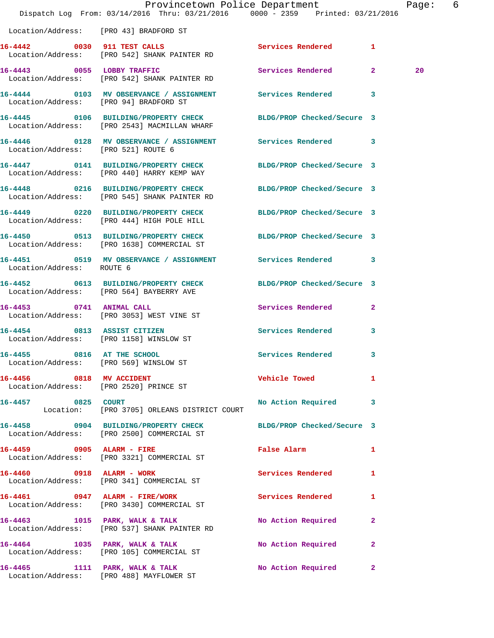|                                        | Provincetown Police Department<br>Dispatch Log From: 03/14/2016 Thru: 03/21/2016 0000 - 2359 Printed: 03/21/2016 |                            |              | Page: 6 |  |
|----------------------------------------|------------------------------------------------------------------------------------------------------------------|----------------------------|--------------|---------|--|
|                                        | Location/Address: [PRO 43] BRADFORD ST                                                                           |                            |              |         |  |
|                                        | 16-4442 0030 911 TEST CALLS<br>Location/Address: [PRO 542] SHANK PAINTER RD                                      | Services Rendered 1        |              |         |  |
|                                        | 16-4443 0055 LOBBY TRAFFIC<br>Location/Address: [PRO 542] SHANK PAINTER RD                                       | Services Rendered 2        |              | 20      |  |
| Location/Address: [PRO 94] BRADFORD ST | 16-4444 0103 MV OBSERVANCE / ASSIGNMENT Services Rendered 3                                                      |                            |              |         |  |
|                                        | 16-4445 0106 BUILDING/PROPERTY CHECK<br>Location/Address: [PRO 2543] MACMILLAN WHARF                             | BLDG/PROP Checked/Secure 3 |              |         |  |
| Location/Address: [PRO 521] ROUTE 6    | 16-4446 0128 MV OBSERVANCE / ASSIGNMENT Services Rendered 3                                                      |                            |              |         |  |
|                                        | 16-4447 0141 BUILDING/PROPERTY CHECK<br>Location/Address: [PRO 440] HARRY KEMP WAY                               | BLDG/PROP Checked/Secure 3 |              |         |  |
|                                        | 16-4448 0216 BUILDING/PROPERTY CHECK BLDG/PROP Checked/Secure 3<br>Location/Address: [PRO 545] SHANK PAINTER RD  |                            |              |         |  |
|                                        | 16-4449 0220 BUILDING/PROPERTY CHECK<br>Location/Address: [PRO 444] HIGH POLE HILL                               | BLDG/PROP Checked/Secure 3 |              |         |  |
|                                        | 16-4450 0513 BUILDING/PROPERTY CHECK BLDG/PROP Checked/Secure 3<br>Location/Address: [PRO 1638] COMMERCIAL ST    |                            |              |         |  |
| Location/Address: ROUTE 6              | 16-4451 0519 MV OBSERVANCE / ASSIGNMENT Services Rendered 3                                                      |                            |              |         |  |
|                                        | 16-4452 0613 BUILDING/PROPERTY CHECK BLDG/PROP Checked/Secure 3<br>Location/Address: [PRO 564] BAYBERRY AVE      |                            |              |         |  |
|                                        | 16-4453 0741 ANIMAL CALL<br>Location/Address: [PRO 3053] WEST VINE ST                                            | Services Rendered 2        |              |         |  |
| 16-4454 0813 ASSIST CITIZEN            | Location/Address: [PRO 1158] WINSLOW ST                                                                          | Services Rendered          | 3            |         |  |
| 16-4455 0816 AT THE SCHOOL             | Location/Address: [PRO 569] WINSLOW ST                                                                           | Services Rendered 3        |              |         |  |
| 16-4456 0818 MV ACCIDENT               | Location/Address: [PRO 2520] PRINCE ST                                                                           | Vehicle Towed Towe         | $\mathbf{1}$ |         |  |
|                                        | 16-4457 0825 COURT<br>Location: [PRO 3705] ORLEANS DISTRICT COURT                                                | No Action Required 3       |              |         |  |
|                                        | 16-4458 0904 BUILDING/PROPERTY CHECK<br>Location/Address: [PRO 2500] COMMERCIAL ST                               | BLDG/PROP Checked/Secure 3 |              |         |  |
|                                        | 16-4459 0905 ALARM - FIRE<br>Location/Address: [PRO 3321] COMMERCIAL ST                                          | <b>False Alarm</b>         | 1            |         |  |
| 16-4460 0918 ALARM - WORK              | Location/Address: [PRO 341] COMMERCIAL ST                                                                        | Services Rendered 1        |              |         |  |
|                                        | 16-4461 0947 ALARM - FIRE/WORK<br>Location/Address: [PRO 3430] COMMERCIAL ST                                     | Services Rendered          | 1            |         |  |
|                                        | 16-4463 1015 PARK, WALK & TALK<br>Location/Address: [PRO 537] SHANK PAINTER RD                                   | No Action Required         | $\mathbf{2}$ |         |  |
|                                        | 16-4464 1035 PARK, WALK & TALK<br>Location/Address: [PRO 105] COMMERCIAL ST                                      | No Action Required         | $\mathbf{2}$ |         |  |
|                                        | 16-4465 1111 PARK, WALK & TALK<br>Location/Address: [PRO 488] MAYFLOWER ST                                       | No Action Required 2       |              |         |  |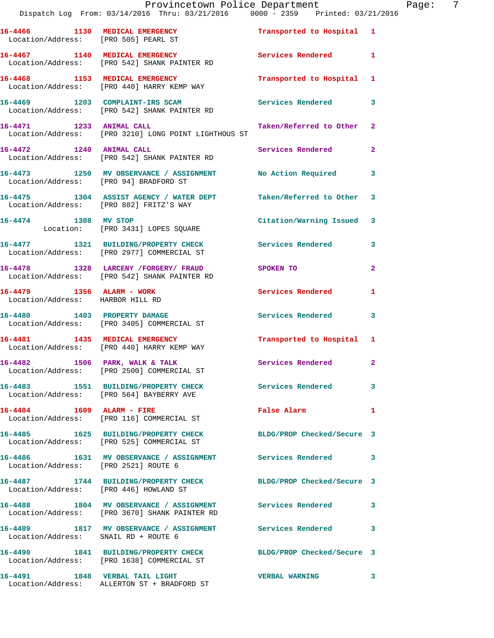|                                                               | Provincetown Police Department<br>Dispatch Log From: 03/14/2016 Thru: 03/21/2016 0000 - 2359 Printed: 03/21/2016 |                           |                |
|---------------------------------------------------------------|------------------------------------------------------------------------------------------------------------------|---------------------------|----------------|
| Location/Address: [PRO 505] PEARL ST                          | 16-4466 1130 MEDICAL EMERGENCY                                                                                   | Transported to Hospital 1 |                |
|                                                               | 16-4467 1140 MEDICAL EMERGENCY<br>Location/Address: [PRO 542] SHANK PAINTER RD                                   | <b>Services Rendered</b>  | 1              |
|                                                               | 16-4468 1153 MEDICAL EMERGENCY<br>Location/Address: [PRO 440] HARRY KEMP WAY                                     | Transported to Hospital   | 1              |
|                                                               | 16-4469 1203 COMPLAINT-IRS SCAM<br>Location/Address: [PRO 542] SHANK PAINTER RD                                  | <b>Services Rendered</b>  | 3              |
| 16-4471 1233 ANIMAL CALL                                      | Location/Address: [PRO 3210] LONG POINT LIGHTHOUS ST                                                             | Taken/Referred to Other   | $\mathbf{2}$   |
| 16-4472 1240 ANIMAL CALL                                      | Location/Address: [PRO 542] SHANK PAINTER RD                                                                     | Services Rendered         | 2              |
| Location/Address: [PRO 94] BRADFORD ST                        | 16-4473 1250 MV OBSERVANCE / ASSIGNMENT No Action Required                                                       |                           | 3              |
|                                                               | 16-4475 1304 ASSIST AGENCY / WATER DEPT Taken/Referred to Other<br>Location/Address: [PRO 882] FRITZ'S WAY       |                           | 3              |
| 16-4474 1308 MV STOP                                          | Location: [PRO 3431] LOPES SQUARE                                                                                | Citation/Warning Issued   | 3              |
|                                                               | 16-4477 1321 BUILDING/PROPERTY CHECK Services Rendered<br>Location/Address: [PRO 2977] COMMERCIAL ST             |                           | 3              |
|                                                               | 16-4478 1328 LARCENY / FORGERY / FRAUD SPOKEN TO<br>Location/Address: [PRO 542] SHANK PAINTER RD                 |                           | $\overline{a}$ |
| 16-4479 1356 ALARM - WORK<br>Location/Address: HARBOR HILL RD |                                                                                                                  | <b>Services Rendered</b>  | 1              |
|                                                               | 16-4480 1403 PROPERTY DAMAGE<br>Location/Address: [PRO 3405] COMMERCIAL ST                                       | <b>Services Rendered</b>  | 3              |
|                                                               | 16-4481 1435 MEDICAL EMERGENCY<br>Location/Address: [PRO 440] HARRY KEMP WAY                                     | Transported to Hospital 1 |                |
|                                                               | 16-4482 1506 PARK, WALK & TALK<br>Location/Address: [PRO 2500] COMMERCIAL ST                                     | Services Rendered         |                |
|                                                               | 16-4483 1551 BUILDING/PROPERTY CHECK Services Rendered<br>Location/Address: [PRO 564] BAYBERRY AVE               |                           | 3              |
| 16-4484   1609   ALARM - FIRE                                 | Location/Address: [PRO 116] COMMERCIAL ST                                                                        | False Alarm               | 1              |
|                                                               | 16-4485 1625 BUILDING/PROPERTY CHECK BLDG/PROP Checked/Secure 3<br>Location/Address: [PRO 525] COMMERCIAL ST     |                           |                |
| Location/Address: [PRO 2521] ROUTE 6                          | 16-4486 1631 MV OBSERVANCE / ASSIGNMENT Services Rendered                                                        |                           | 3              |
| Location/Address: [PRO 446] HOWLAND ST                        | 16-4487 1744 BUILDING/PROPERTY CHECK BLDG/PROP Checked/Secure 3                                                  |                           |                |
|                                                               | 16-4488 1804 MV OBSERVANCE / ASSIGNMENT Services Rendered<br>Location/Address: [PRO 3670] SHANK PAINTER RD       |                           | 3              |
| Location/Address: SNAIL RD + ROUTE 6                          | 16-4489 1817 MV OBSERVANCE / ASSIGNMENT Services Rendered                                                        |                           | 3              |
|                                                               | 16-4490 1841 BUILDING/PROPERTY CHECK BLDG/PROP Checked/Secure 3<br>Location/Address: [PRO 1638] COMMERCIAL ST    |                           |                |
| 16-4491 1848 VERBAL TAIL LIGHT                                |                                                                                                                  | <b>VERBAL WARNING</b>     | 3              |

Location/Address: ALLERTON ST + BRADFORD ST

Page: 7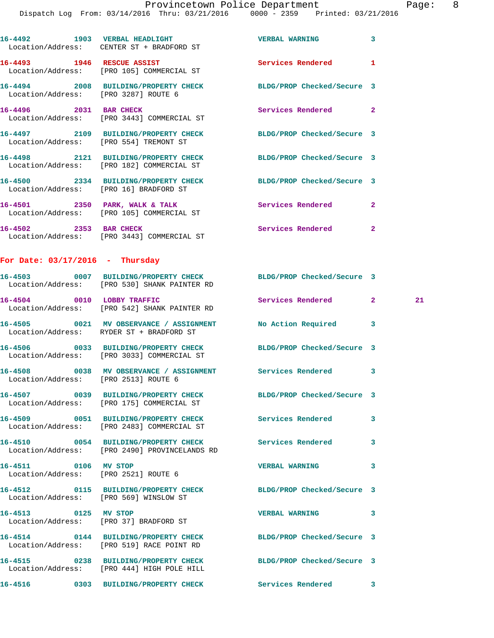|                                                              | Location/Address: CENTER ST + BRADFORD ST                                                                       |                            |                |    |
|--------------------------------------------------------------|-----------------------------------------------------------------------------------------------------------------|----------------------------|----------------|----|
|                                                              | 16-4493 1946 RESCUE ASSIST<br>Location/Address: [PRO 105] COMMERCIAL ST                                         | Services Rendered          | 1              |    |
|                                                              | 16-4494 2008 BUILDING/PROPERTY CHECK BLDG/PROP Checked/Secure 3<br>Location/Address: [PRO 3287] ROUTE 6         |                            |                |    |
|                                                              | 16-4496 2031 BAR CHECK<br>Location/Address: [PRO 3443] COMMERCIAL ST                                            | Services Rendered 2        |                |    |
|                                                              | 16-4497 2109 BUILDING/PROPERTY CHECK BLDG/PROP Checked/Secure 3<br>Location/Address: [PRO 554] TREMONT ST       |                            |                |    |
|                                                              | 16-4498 2121 BUILDING/PROPERTY CHECK<br>Location/Address: [PRO 182] COMMERCIAL ST                               | BLDG/PROP Checked/Secure 3 |                |    |
|                                                              | 16-4500 2334 BUILDING/PROPERTY CHECK<br>Location/Address: [PRO 16] BRADFORD ST                                  | BLDG/PROP Checked/Secure 3 |                |    |
|                                                              | 16-4501 2350 PARK, WALK & TALK<br>Location/Address: [PRO 105] COMMERCIAL ST                                     | Services Rendered          | $\mathbf{2}$   |    |
|                                                              | 16-4502 2353 BAR CHECK<br>Location/Address: [PRO 3443] COMMERCIAL ST                                            | Services Rendered          | $\overline{2}$ |    |
| For Date: $03/17/2016$ - Thursday                            |                                                                                                                 |                            |                |    |
|                                                              | 16-4503 0007 BUILDING/PROPERTY CHECK BLDG/PROP Checked/Secure 3<br>Location/Address: [PRO 530] SHANK PAINTER RD |                            |                |    |
|                                                              | 16-4504 0010 LOBBY TRAFFIC<br>Location/Address: [PRO 542] SHANK PAINTER RD                                      | Services Rendered 2        |                | 21 |
|                                                              | 16-4505 0021 MV OBSERVANCE / ASSIGNMENT No Action Required 3<br>Location/Address: RYDER ST + BRADFORD ST        |                            |                |    |
|                                                              | 16-4506 0033 BUILDING/PROPERTY CHECK BLDG/PROP Checked/Secure 3<br>Location/Address: [PRO 3033] COMMERCIAL ST   |                            |                |    |
| Location/Address: [PRO 2513] ROUTE 6                         | 16-4508 0038 MV OBSERVANCE / ASSIGNMENT Services Rendered                                                       |                            | 3              |    |
|                                                              | 16-4507 0039 BUILDING/PROPERTY CHECK BLDG/PROP Checked/Secure 3<br>Location/Address: [PRO 175] COMMERCIAL ST    |                            |                |    |
|                                                              | 16-4509 0051 BUILDING/PROPERTY CHECK<br>Location/Address: [PRO 2483] COMMERCIAL ST                              | Services Rendered          | 3              |    |
|                                                              | 16-4510 0054 BUILDING/PROPERTY CHECK<br>Location/Address: [PRO 2490] PROVINCELANDS RD                           | <b>Services Rendered</b>   | 3              |    |
| 16-4511 0106 MV STOP<br>Location/Address: [PRO 2521] ROUTE 6 |                                                                                                                 | <b>VERBAL WARNING</b>      | 3              |    |
|                                                              | 16-4512 0115 BUILDING/PROPERTY CHECK<br>Location/Address: [PRO 569] WINSLOW ST                                  | BLDG/PROP Checked/Secure 3 |                |    |
| 16-4513 0125 MV STOP                                         | Location/Address: [PRO 37] BRADFORD ST                                                                          | <b>VERBAL WARNING</b>      | 3              |    |
|                                                              | 16-4514 0144 BUILDING/PROPERTY CHECK BLDG/PROP Checked/Secure 3<br>Location/Address: [PRO 519] RACE POINT RD    |                            |                |    |
|                                                              | 16-4515 0238 BUILDING/PROPERTY CHECK BLDG/PROP Checked/Secure 3<br>Location/Address: [PRO 444] HIGH POLE HILL   |                            |                |    |
|                                                              | 16-4516 		 0303 BUILDING/PROPERTY CHECK Services Rendered 3                                                     |                            |                |    |
|                                                              |                                                                                                                 |                            |                |    |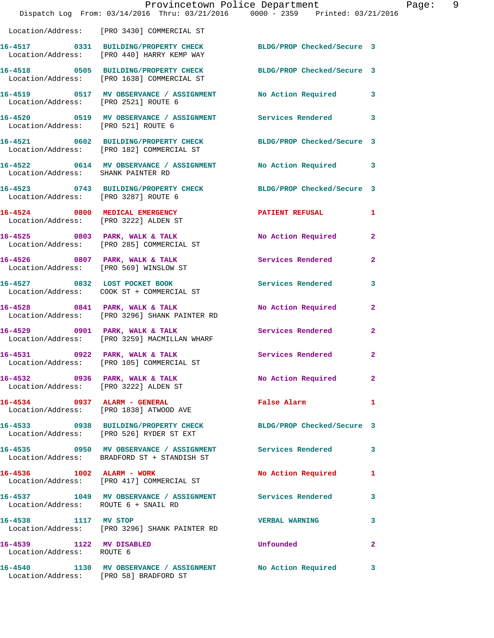|                                                                         |                                                                                    | Provincetown Police Department<br>Dispatch Log From: 03/14/2016 Thru: 03/21/2016 0000 - 2359 Printed: 03/21/2016 |                |
|-------------------------------------------------------------------------|------------------------------------------------------------------------------------|------------------------------------------------------------------------------------------------------------------|----------------|
|                                                                         | Location/Address: [PRO 3430] COMMERCIAL ST                                         |                                                                                                                  |                |
|                                                                         | 16-4517 0331 BUILDING/PROPERTY CHECK<br>Location/Address: [PRO 440] HARRY KEMP WAY | BLDG/PROP Checked/Secure 3                                                                                       |                |
|                                                                         | Location/Address: [PRO 1638] COMMERCIAL ST                                         | 16-4518 0505 BUILDING/PROPERTY CHECK BLDG/PROP Checked/Secure 3                                                  |                |
| Location/Address: [PRO 2521] ROUTE 6                                    |                                                                                    | 16-4519 0517 MV OBSERVANCE / ASSIGNMENT No Action Required                                                       | 3              |
| Location/Address: [PRO 521] ROUTE 6                                     |                                                                                    | 16-4520 0519 MV OBSERVANCE / ASSIGNMENT Services Rendered                                                        | 3              |
|                                                                         | Location/Address: [PRO 182] COMMERCIAL ST                                          | 16-4521 0602 BUILDING/PROPERTY CHECK BLDG/PROP Checked/Secure 3                                                  |                |
| Location/Address: SHANK PAINTER RD                                      | 16-4522 0614 MV OBSERVANCE / ASSIGNMENT                                            | No Action Required                                                                                               | 3              |
| Location/Address: [PRO 3287] ROUTE 6                                    |                                                                                    | 16-4523 0743 BUILDING/PROPERTY CHECK BLDG/PROP Checked/Secure 3                                                  |                |
| 16-4524 0800 MEDICAL EMERGENCY<br>Location/Address: [PRO 3222] ALDEN ST |                                                                                    | <b>PATIENT REFUSAL</b>                                                                                           | 1              |
|                                                                         | 16-4525 0803 PARK, WALK & TALK<br>Location/Address: [PRO 285] COMMERCIAL ST        | No Action Required                                                                                               | $\mathbf{2}$   |
|                                                                         | 16-4526 0807 PARK, WALK & TALK<br>Location/Address: [PRO 569] WINSLOW ST           | Services Rendered                                                                                                | $\mathbf{2}$   |
|                                                                         | 16-4527 0832 LOST POCKET BOOK                                                      | Services Rendered                                                                                                | 3              |
|                                                                         | 16-4528 0841 PARK, WALK & TALK<br>Location/Address: [PRO 3296] SHANK PAINTER RD    | No Action Required                                                                                               | $\mathbf{2}$   |
|                                                                         | $16-4529$ 0901 PARK, WALK & TALK<br>Location/Address: [PRO 3259] MACMILLAN WHARF   | Services Rendered                                                                                                | $\mathbf{2}$   |
| 16-4531 0922 PARK, WALK & TALK                                          | Location/Address: [PRO 105] COMMERCIAL ST                                          | Services Rendered                                                                                                | $\overline{2}$ |
|                                                                         | Location/Address: [PRO 3222] ALDEN ST                                              | 16-4532 0936 PARK, WALK & TALK NO Action Required                                                                | $\mathbf{2}$   |
|                                                                         | 16-4534 0937 ALARM - GENERAL<br>Location/Address: [PRO 1838] ATWOOD AVE            | <b>False Alarm</b>                                                                                               | 1              |
|                                                                         | Location/Address: [PRO 526] RYDER ST EXT                                           | 16-4533 0938 BUILDING/PROPERTY CHECK BLDG/PROP Checked/Secure 3                                                  |                |
|                                                                         | Location/Address: BRADFORD ST + STANDISH ST                                        | 16-4535 6950 MV OBSERVANCE / ASSIGNMENT Services Rendered                                                        | 3              |
| 16-4536 1002 ALARM - WORK                                               | Location/Address: [PRO 417] COMMERCIAL ST                                          | No Action Required                                                                                               | 1              |
| Location/Address: ROUTE 6 + SNAIL RD                                    | 16-4537 1049 MV OBSERVANCE / ASSIGNMENT Services Rendered                          |                                                                                                                  | 3              |
| 16-4538 1117 MV STOP                                                    | Location/Address: [PRO 3296] SHANK PAINTER RD                                      | <b>VERBAL WARNING</b>                                                                                            | 3              |
| 16-4539 1122 MV DISABLED<br>Location/Address: ROUTE 6                   |                                                                                    | Unfounded                                                                                                        | 2              |
| Location/Address: [PRO 58] BRADFORD ST                                  |                                                                                    | 16-4540 1130 MV OBSERVANCE / ASSIGNMENT No Action Required                                                       | 3              |

Page: 9<br>6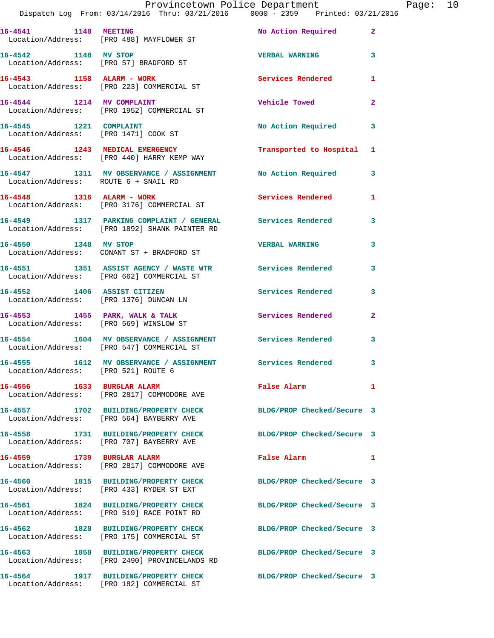|                                      | Dispatch Log From: 03/14/2016 Thru: 03/21/2016   0000 - 2359   Printed: 03/21/2016                               | Provincetown Police Department Page: 10 |              |  |
|--------------------------------------|------------------------------------------------------------------------------------------------------------------|-----------------------------------------|--------------|--|
|                                      | 16-4541 1148 MEETING<br>Location/Address: [PRO 488] MAYFLOWER ST                                                 | No Action Required 2                    |              |  |
| 16-4542 1148 MV STOP                 | Location/Address: [PRO 57] BRADFORD ST                                                                           | <b>VERBAL WARNING 3</b>                 |              |  |
|                                      |                                                                                                                  | Services Rendered                       | 1            |  |
|                                      | 16-4544 1214 MV COMPLAINT<br>Location/Address: [PRO 1952] COMMERCIAL ST                                          | Vehicle Towed                           | $\mathbf{2}$ |  |
|                                      |                                                                                                                  | No Action Required                      | $\mathbf{3}$ |  |
|                                      | 16-4546 1243 MEDICAL EMERGENCY<br>Location/Address: [PRO 440] HARRY KEMP WAY                                     | Transported to Hospital 1               |              |  |
| Location/Address: ROUTE 6 + SNAIL RD | 16-4547 1311 MV OBSERVANCE / ASSIGNMENT No Action Required 3                                                     |                                         |              |  |
|                                      | 16-4548 1316 ALARM - WORK<br>Location/Address: [PRO 3176] COMMERCIAL ST                                          | Services Rendered                       | 1            |  |
|                                      | 16-4549 1317 PARKING COMPLAINT / GENERAL Services Rendered 3<br>Location/Address: [PRO 1892] SHANK PAINTER RD    |                                         |              |  |
|                                      | 16-4550 1348 MV STOP<br>Location/Address: CONANT ST + BRADFORD ST                                                | <b>VERBAL WARNING</b>                   | 3            |  |
|                                      | 16-4551 1351 ASSIST AGENCY / WASTE WTR Services Rendered<br>Location/Address: [PRO 662] COMMERCIAL ST            |                                         | 3            |  |
|                                      | 16-4552 1406 ASSIST CITIZEN<br>Location/Address: [PRO 1376] DUNCAN LN                                            | Services Rendered                       | 3            |  |
|                                      | 16-4553 1455 PARK, WALK & TALK 1988 Services Rendered<br>Location/Address: [PRO 569] WINSLOW ST                  |                                         | $\mathbf{2}$ |  |
|                                      | 16-4554 1604 MV OBSERVANCE / ASSIGNMENT Services Rendered 3<br>Location/Address: [PRO 547] COMMERCIAL ST         |                                         |              |  |
| Location/Address: [PRO 521] ROUTE 6  | 16-4555 1612 MV OBSERVANCE / ASSIGNMENT Services Rendered                                                        |                                         |              |  |
|                                      | 16-4556 1633 BURGLAR ALARM<br>Location/Address: [PRO 2817] COMMODORE AVE                                         | False Alarm                             | 1            |  |
|                                      | 16-4557 1702 BUILDING/PROPERTY CHECK<br>Location/Address: [PRO 564] BAYBERRY AVE                                 | BLDG/PROP Checked/Secure 3              |              |  |
|                                      | 16-4558 1731 BUILDING/PROPERTY CHECK<br>Location/Address: [PRO 707] BAYBERRY AVE                                 | BLDG/PROP Checked/Secure 3              |              |  |
| 16-4559 1739 BURGLAR ALARM           | Location/Address: [PRO 2817] COMMODORE AVE                                                                       | False Alarm                             | $\mathbf{1}$ |  |
|                                      | 16-4560 1815 BUILDING/PROPERTY CHECK<br>Location/Address: [PRO 433] RYDER ST EXT                                 | BLDG/PROP Checked/Secure 3              |              |  |
|                                      | 16-4561 1824 BUILDING/PROPERTY CHECK<br>Location/Address: [PRO 519] RACE POINT RD                                | BLDG/PROP Checked/Secure 3              |              |  |
|                                      | 16-4562 1828 BUILDING/PROPERTY CHECK<br>Location/Address: [PRO 175] COMMERCIAL ST                                | BLDG/PROP Checked/Secure 3              |              |  |
|                                      | 16-4563 1858 BUILDING/PROPERTY CHECK BLDG/PROP Checked/Secure 3<br>Location/Address: [PRO 2490] PROVINCELANDS RD |                                         |              |  |
| 16-4564                              | 1917 BUILDING/PROPERTY CHECK BLDG/PROP Checked/Secure 3                                                          |                                         |              |  |

Location/Address: [PRO 182] COMMERCIAL ST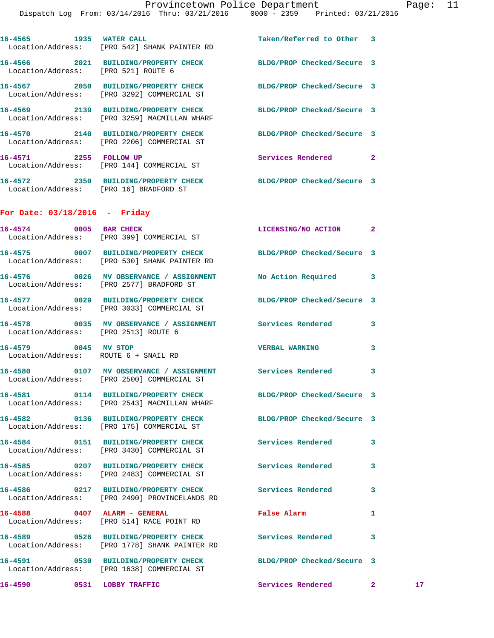|                                      | 16-4565 1935 WATER CALL<br>Location/Address: [PRO 542] SHANK PAINTER RD                                         | Taken/Referred to Other 3  |   |    |
|--------------------------------------|-----------------------------------------------------------------------------------------------------------------|----------------------------|---|----|
| Location/Address: [PRO 521] ROUTE 6  | 16-4566 2021 BUILDING/PROPERTY CHECK BLDG/PROP Checked/Secure 3                                                 |                            |   |    |
|                                      | 16-4567 2050 BUILDING/PROPERTY CHECK<br>Location/Address: [PRO 3292] COMMERCIAL ST                              | BLDG/PROP Checked/Secure 3 |   |    |
|                                      | 16-4569 2139 BUILDING/PROPERTY CHECK<br>Location/Address: [PRO 3259] MACMILLAN WHARF                            | BLDG/PROP Checked/Secure 3 |   |    |
|                                      | 16-4570 2140 BUILDING/PROPERTY CHECK<br>Location/Address: [PRO 2206] COMMERCIAL ST                              | BLDG/PROP Checked/Secure 3 |   |    |
|                                      | 16-4571 2255 FOLLOW UP<br>Location/Address: [PRO 144] COMMERCIAL ST                                             | <b>Services Rendered</b> 2 |   |    |
|                                      | 16-4572 2350 BUILDING/PROPERTY CHECK BLDG/PROP Checked/Secure 3<br>Location/Address: [PRO 16] BRADFORD ST       |                            |   |    |
| For Date: $03/18/2016$ - Friday      |                                                                                                                 |                            |   |    |
| 16-4574 0005 BAR CHECK               | Location/Address: [PRO 399] COMMERCIAL ST                                                                       | LICENSING/NO ACTION 2      |   |    |
|                                      | 16-4575 0007 BUILDING/PROPERTY CHECK BLDG/PROP Checked/Secure 3<br>Location/Address: [PRO 530] SHANK PAINTER RD |                            |   |    |
|                                      | 16-4576 0026 MV OBSERVANCE / ASSIGNMENT No Action Required 3<br>Location/Address: [PRO 2577] BRADFORD ST        |                            |   |    |
|                                      | 16-4577 0029 BUILDING/PROPERTY CHECK BLDG/PROP Checked/Secure 3<br>Location/Address: [PRO 3033] COMMERCIAL ST   |                            |   |    |
| Location/Address: [PRO 2513] ROUTE 6 | 16-4578 0035 MV OBSERVANCE / ASSIGNMENT Services Rendered                                                       |                            | 3 |    |
| 16-4579 0045 MV STOP                 | Location/Address: ROUTE 6 + SNAIL RD                                                                            | <b>VERBAL WARNING</b>      | 3 |    |
|                                      | 16-4580 0107 MV OBSERVANCE / ASSIGNMENT Services Rendered<br>Location/Address: [PRO 2500] COMMERCIAL ST         |                            | 3 |    |
|                                      | 16-4581 0114 BUILDING/PROPERTY CHECK BLDG/PROP Checked/Secure 3<br>Location/Address: [PRO 2543] MACMILLAN WHARF |                            |   |    |
|                                      | 16-4582 0136 BUILDING/PROPERTY CHECK BLDG/PROP Checked/Secure 3<br>Location/Address: [PRO 175] COMMERCIAL ST    |                            |   |    |
|                                      | 16-4584 0151 BUILDING/PROPERTY CHECK<br>Location/Address: [PRO 3430] COMMERCIAL ST                              | <b>Services Rendered</b>   | 3 |    |
|                                      | 16-4585 0207 BUILDING/PROPERTY CHECK<br>Location/Address: [PRO 2483] COMMERCIAL ST                              | Services Rendered          | 3 |    |
|                                      | 16-4586 0217 BUILDING/PROPERTY CHECK Services Rendered<br>Location/Address: [PRO 2490] PROVINCELANDS RD         |                            | 3 |    |
| 16-4588 0407 ALARM - GENERAL         | Location/Address: [PRO 514] RACE POINT RD                                                                       | False Alarm                | 1 |    |
|                                      | Location/Address: [PRO 1778] SHANK PAINTER RD                                                                   |                            | 3 |    |
|                                      | 16-4591 0530 BUILDING/PROPERTY CHECK<br>Location/Address: [PRO 1638] COMMERCIAL ST                              | BLDG/PROP Checked/Secure 3 |   |    |
|                                      | 16-4590 0531 LOBBY TRAFFIC                                                                                      | Services Rendered 2        |   | 17 |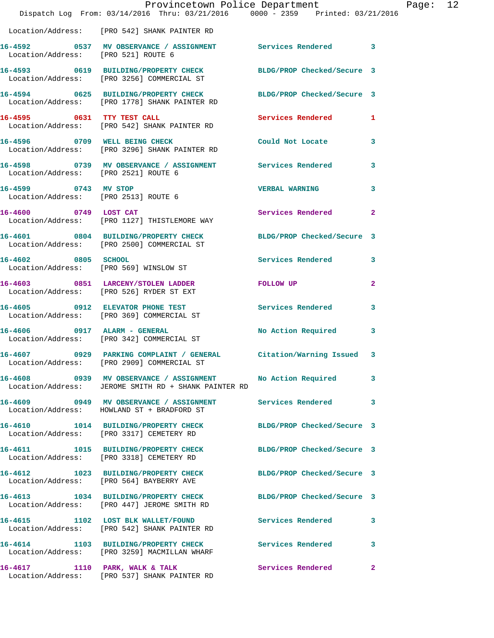|                                                              | Provincetown Police Department<br>Dispatch Log From: 03/14/2016 Thru: 03/21/2016 0000 - 2359 Printed: 03/21/2016   |                            |                |
|--------------------------------------------------------------|--------------------------------------------------------------------------------------------------------------------|----------------------------|----------------|
|                                                              | Location/Address: [PRO 542] SHANK PAINTER RD                                                                       |                            |                |
| Location/Address: [PRO 521] ROUTE 6                          | 16-4592 0537 MV OBSERVANCE / ASSIGNMENT Services Rendered 3                                                        |                            |                |
|                                                              | 16-4593 0619 BUILDING/PROPERTY CHECK<br>Location/Address: [PRO 3256] COMMERCIAL ST                                 | BLDG/PROP Checked/Secure 3 |                |
|                                                              | 16-4594 0625 BUILDING/PROPERTY CHECK BLDG/PROP Checked/Secure 3<br>Location/Address: [PRO 1778] SHANK PAINTER RD   |                            |                |
|                                                              | 16-4595 0631 TTY TEST CALL<br>Location/Address: [PRO 542] SHANK PAINTER RD                                         | Services Rendered          | 1              |
|                                                              | 16-4596 0709 WELL BEING CHECK<br>Location/Address: [PRO 3296] SHANK PAINTER RD                                     | Could Not Locate           | 3              |
|                                                              | 16-4598 0739 MV OBSERVANCE / ASSIGNMENT Services Rendered<br>Location/Address: [PRO 2521] ROUTE 6                  |                            | 3              |
| 16-4599 0743 MV STOP<br>Location/Address: [PRO 2513] ROUTE 6 |                                                                                                                    | <b>VERBAL WARNING</b>      | 3              |
|                                                              | 16-4600 0749 LOST CAT<br>Location/Address: [PRO 1127] THISTLEMORE WAY                                              | <b>Services Rendered</b>   | $\overline{a}$ |
|                                                              | 16-4601 0804 BUILDING/PROPERTY CHECK<br>Location/Address: [PRO 2500] COMMERCIAL ST                                 | BLDG/PROP Checked/Secure 3 |                |
| 16-4602 0805 SCHOOL                                          | Location/Address: [PRO 569] WINSLOW ST                                                                             | <b>Services Rendered</b>   | 3              |
|                                                              | 16-4603 0851 LARCENY/STOLEN LADDER<br>Location/Address: [PRO 526] RYDER ST EXT                                     | FOLLOW UP                  | $\mathbf{2}$   |
|                                                              | 16-4605 0912 ELEVATOR PHONE TEST<br>Location/Address: [PRO 369] COMMERCIAL ST                                      | <b>Services Rendered</b>   | 3              |
|                                                              | 16-4606 0917 ALARM - GENERAL<br>Location/Address: [PRO 342] COMMERCIAL ST                                          | No Action Required         | 3              |
|                                                              | 16-4607 0929 PARKING COMPLAINT / GENERAL Citation/Warning Issued<br>Location/Address: [PRO 2909] COMMERCIAL ST     |                            | 3              |
|                                                              | 16-4608 0939 MV OBSERVANCE / ASSIGNMENT No Action Required<br>Location/Address: JEROME SMITH RD + SHANK PAINTER RD |                            | 3              |
|                                                              | 16-4609 0949 MV OBSERVANCE / ASSIGNMENT<br>Location/Address: HOWLAND ST + BRADFORD ST                              | <b>Services Rendered</b>   | 3              |
|                                                              | 16-4610 1014 BUILDING/PROPERTY CHECK BLDG/PROP Checked/Secure 3<br>Location/Address: [PRO 3317] CEMETERY RD        |                            |                |
|                                                              | 16-4611 1015 BUILDING/PROPERTY CHECK<br>Location/Address: [PRO 3318] CEMETERY RD                                   | BLDG/PROP Checked/Secure 3 |                |
|                                                              | 16-4612 1023 BUILDING/PROPERTY CHECK<br>Location/Address: [PRO 564] BAYBERRY AVE                                   | BLDG/PROP Checked/Secure 3 |                |
|                                                              | 16-4613 1034 BUILDING/PROPERTY CHECK<br>Location/Address: [PRO 447] JEROME SMITH RD                                | BLDG/PROP Checked/Secure 3 |                |
|                                                              | 16-4615 1102 LOST BLK WALLET/FOUND<br>Location/Address: [PRO 542] SHANK PAINTER RD                                 | Services Rendered          | 3              |
|                                                              | 16-4614 1103 BUILDING/PROPERTY CHECK<br>Location/Address: [PRO 3259] MACMILLAN WHARF                               | <b>Services Rendered</b>   | 3              |
| 16-4617 1110 PARK, WALK & TALK                               | Location/Address: [PRO 537] SHANK PAINTER RD                                                                       | Services Rendered          | $\mathbf{2}$   |

Page: 12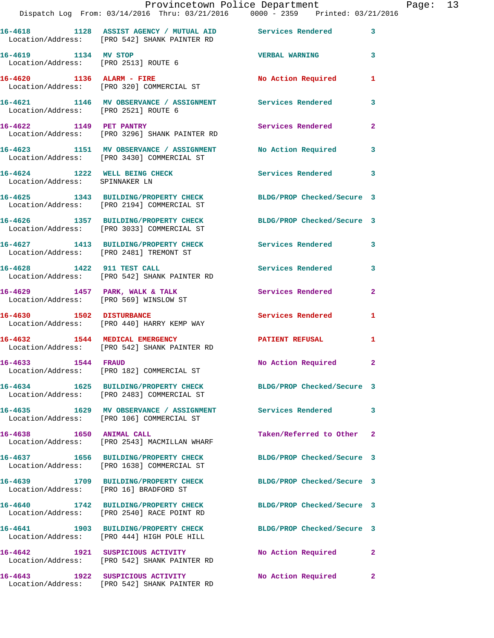|                                      | Dispatch Log From: 03/14/2016 Thru: 03/21/2016   0000 - 2359   Printed: 03/21/2016                            | Provincetown Police Department Fage: 13 |                |  |
|--------------------------------------|---------------------------------------------------------------------------------------------------------------|-----------------------------------------|----------------|--|
|                                      | 16-4618 1128 ASSIST AGENCY / MUTUAL AID Services Rendered<br>Location/Address: [PRO 542] SHANK PAINTER RD     |                                         | $\mathbf{3}$   |  |
| 16-4619 1134 MV STOP                 | Location/Address: [PRO 2513] ROUTE 6                                                                          | VERBAL WARNING 3                        |                |  |
|                                      | 16-4620 1136 ALARM - FIRE<br>Location/Address: [PRO 320] COMMERCIAL ST                                        | No Action Required 1                    |                |  |
| Location/Address: [PRO 2521] ROUTE 6 | 16-4621 1146 MV OBSERVANCE / ASSIGNMENT Services Rendered                                                     |                                         | 3              |  |
|                                      | 16-4622 1149 PET PANTRY<br>Location/Address: [PRO 3296] SHANK PAINTER RD                                      | Services Rendered                       | $\mathbf{2}$   |  |
|                                      | 16-4623 1151 MV OBSERVANCE / ASSIGNMENT No Action Required<br>Location/Address: [PRO 3430] COMMERCIAL ST      |                                         | 3              |  |
| Location/Address: SPINNAKER LN       | 16-4624 1222 WELL BEING CHECK Services Rendered 3                                                             |                                         |                |  |
|                                      | 16-4625 1343 BUILDING/PROPERTY CHECK BLDG/PROP Checked/Secure 3<br>Location/Address: [PRO 2194] COMMERCIAL ST |                                         |                |  |
|                                      | 16-4626 1357 BUILDING/PROPERTY CHECK BLDG/PROP Checked/Secure 3<br>Location/Address: [PRO 3033] COMMERCIAL ST |                                         |                |  |
|                                      | 16-4627 1413 BUILDING/PROPERTY CHECK Services Rendered<br>Location/Address: [PRO 2481] TREMONT ST             |                                         | 3              |  |
|                                      | 16-4628 1422 911 TEST CALL<br>Location/Address: [PRO 542] SHANK PAINTER RD                                    | Services Rendered 3                     |                |  |
|                                      | 16-4629 1457 PARK, WALK & TALK 1988 Services Rendered<br>Location/Address: [PRO 569] WINSLOW ST               |                                         | $\overline{2}$ |  |
| 16-4630 1502 DISTURBANCE             | Location/Address: [PRO 440] HARRY KEMP WAY                                                                    | Services Rendered                       | 1              |  |
|                                      | 16-4632 1544 MEDICAL EMERGENCY<br>Location/Address: [PRO 542] SHANK PAINTER RD                                | PATIENT REFUSAL 1                       |                |  |
| 16-4633 1544 FRAUD                   | Location/Address: [PRO 182] COMMERCIAL ST                                                                     | No Action Required 2                    |                |  |
|                                      | 16-4634 1625 BUILDING/PROPERTY CHECK BLDG/PROP Checked/Secure 3<br>Location/Address: [PRO 2483] COMMERCIAL ST |                                         |                |  |
|                                      | Location/Address: [PRO 106] COMMERCIAL ST                                                                     |                                         | 3              |  |
|                                      | 16-4638 1650 ANIMAL CALL<br>Location/Address: [PRO 2543] MACMILLAN WHARF                                      | Taken/Referred to Other 2               |                |  |
|                                      | 16-4637 1656 BUILDING/PROPERTY CHECK BLDG/PROP Checked/Secure 3<br>Location/Address: [PRO 1638] COMMERCIAL ST |                                         |                |  |
|                                      | 16-4639 1709 BUILDING/PROPERTY CHECK<br>Location/Address: [PRO 16] BRADFORD ST                                | BLDG/PROP Checked/Secure 3              |                |  |
|                                      | 16-4640 1742 BUILDING/PROPERTY CHECK<br>Location/Address: [PRO 2540] RACE POINT RD                            | BLDG/PROP Checked/Secure 3              |                |  |
|                                      | 16-4641 1903 BUILDING/PROPERTY CHECK<br>Location/Address: [PRO 444] HIGH POLE HILL                            | BLDG/PROP Checked/Secure 3              |                |  |
| 16-4642                              | 1921 SUSPICIOUS ACTIVITY<br>Location/Address: [PRO 542] SHANK PAINTER RD                                      | No Action Required                      | 2              |  |
|                                      | 16-4643 1922 SUSPICIOUS ACTIVITY<br>Location/Address: [PRO 542] SHANK PAINTER RD                              | No Action Required                      | 2              |  |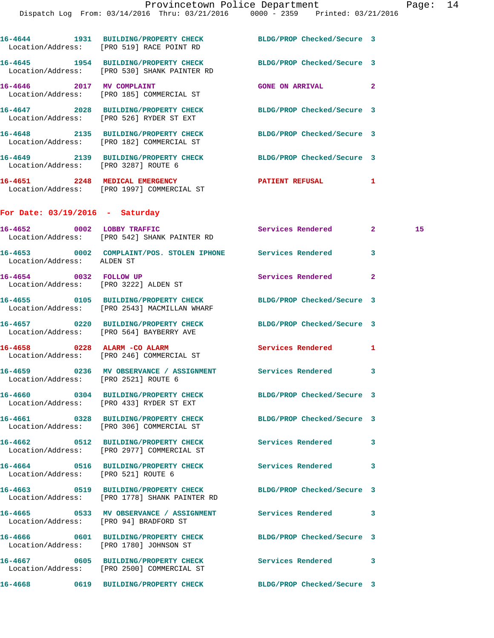|                                   | 16-4644 1931 BUILDING/PROPERTY CHECK BLDG/PROP Checked/Secure 3<br>Location/Address: [PRO 519] RACE POINT RD     |                            |              |    |
|-----------------------------------|------------------------------------------------------------------------------------------------------------------|----------------------------|--------------|----|
|                                   | 16-4645 1954 BUILDING/PROPERTY CHECK BLDG/PROP Checked/Secure 3<br>Location/Address: [PRO 530] SHANK PAINTER RD  |                            |              |    |
|                                   | 16-4646 2017 MV COMPLAINT<br>Location/Address: [PRO 185] COMMERCIAL ST                                           | GONE ON ARRIVAL 2          |              |    |
|                                   | 16-4647 2028 BUILDING/PROPERTY CHECK<br>Location/Address: [PRO 526] RYDER ST EXT                                 | BLDG/PROP Checked/Secure 3 |              |    |
|                                   | 16-4648 2135 BUILDING/PROPERTY CHECK<br>Location/Address: [PRO 182] COMMERCIAL ST                                | BLDG/PROP Checked/Secure 3 |              |    |
|                                   | 16-4649 2139 BUILDING/PROPERTY CHECK BLDG/PROP Checked/Secure 3<br>Location/Address: [PRO 3287] ROUTE 6          |                            |              |    |
|                                   | 16-4651 2248 MEDICAL EMERGENCY<br>Location/Address: [PRO 1997] COMMERCIAL ST                                     | PATIENT REFUSAL 1          |              |    |
| For Date: $03/19/2016$ - Saturday |                                                                                                                  |                            |              |    |
|                                   | 16-4652 0002 LOBBY TRAFFIC<br>Location/Address: [PRO 542] SHANK PAINTER RD                                       | Services Rendered 2        |              | 15 |
| Location/Address: ALDEN ST        | 16-4653 0002 COMPLAINT/POS. STOLEN IPHONE Services Rendered                                                      |                            | 3            |    |
|                                   | 16-4654 0032 FOLLOW UP<br>Location/Address: [PRO 3222] ALDEN ST                                                  | Services Rendered          | 2            |    |
|                                   | 16-4655 0105 BUILDING/PROPERTY CHECK BLDG/PROP Checked/Secure 3<br>Location/Address: [PRO 2543] MACMILLAN WHARF  |                            |              |    |
|                                   | 16-4657 0220 BUILDING/PROPERTY CHECK<br>Location/Address: [PRO 564] BAYBERRY AVE                                 | BLDG/PROP Checked/Secure 3 |              |    |
|                                   | 16-4658 0228 ALARM - CO ALARM<br>Location/Address: [PRO 246] COMMERCIAL ST                                       | <b>Services Rendered</b>   | $\mathbf{1}$ |    |
|                                   | 16-4659 0236 MV OBSERVANCE / ASSIGNMENT Services Rendered<br>Location/Address: [PRO 2521] ROUTE 6                |                            | 3            |    |
|                                   | 16-4660 0304 BUILDING/PROPERTY CHECK<br>Location/Address: [PRO 433] RYDER ST EXT                                 | BLDG/PROP Checked/Secure 3 |              |    |
|                                   | 16-4661 0328 BUILDING/PROPERTY CHECK<br>Location/Address: [PRO 306] COMMERCIAL ST                                | BLDG/PROP Checked/Secure 3 |              |    |
|                                   | 16-4662 0512 BUILDING/PROPERTY CHECK<br>Location/Address: [PRO 2977] COMMERCIAL ST                               | <b>Services Rendered</b>   | 3            |    |
|                                   | 16-4664 0516 BUILDING/PROPERTY CHECK Services Rendered<br>Location/Address: [PRO 521] ROUTE 6                    |                            | 3            |    |
|                                   | 16-4663 0519 BUILDING/PROPERTY CHECK BLDG/PROP Checked/Secure 3<br>Location/Address: [PRO 1778] SHANK PAINTER RD |                            |              |    |
|                                   | 16-4665 0533 MV OBSERVANCE / ASSIGNMENT Services Rendered<br>Location/Address: [PRO 94] BRADFORD ST              |                            | 3            |    |
|                                   | 16-4666 0601 BUILDING/PROPERTY CHECK<br>Location/Address: [PRO 1780] JOHNSON ST                                  | BLDG/PROP Checked/Secure 3 |              |    |
|                                   | 16-4667 0605 BUILDING/PROPERTY CHECK<br>Location/Address: [PRO 2500] COMMERCIAL ST                               | Services Rendered          | 3            |    |
|                                   | 16-4668 0619 BUILDING/PROPERTY CHECK BLDG/PROP Checked/Secure 3                                                  |                            |              |    |
|                                   |                                                                                                                  |                            |              |    |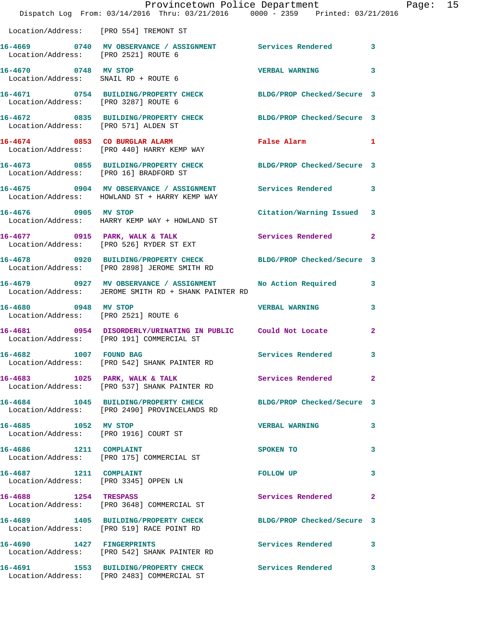|                                      | Provincetown Police Department<br>Dispatch Log From: 03/14/2016 Thru: 03/21/2016 0000 - 2359 Printed: 03/21/2016 |                           | Page: 15     |  |
|--------------------------------------|------------------------------------------------------------------------------------------------------------------|---------------------------|--------------|--|
|                                      | Location/Address: [PRO 554] TREMONT ST                                                                           |                           |              |  |
|                                      | 16-4669 0740 MV OBSERVANCE / ASSIGNMENT Services Rendered 3<br>Location/Address: [PRO 2521] ROUTE 6              |                           |              |  |
| 16-4670 0748 MV STOP                 | Location/Address: SNAIL RD + ROUTE 6                                                                             | VERBAL WARNING 3          |              |  |
|                                      | 16-4671 0754 BUILDING/PROPERTY CHECK BLDG/PROP Checked/Secure 3<br>Location/Address: [PRO 3287] ROUTE 6          |                           |              |  |
| Location/Address: [PRO 571] ALDEN ST | 16-4672 0835 BUILDING/PROPERTY CHECK BLDG/PROP Checked/Secure 3                                                  |                           |              |  |
|                                      | 16-4674 0853 CO BURGLAR ALARM<br>Location/Address: [PRO 440] HARRY KEMP WAY                                      | False Alarm 1             |              |  |
|                                      | 16-4673 0855 BUILDING/PROPERTY CHECK BLDG/PROP Checked/Secure 3<br>Location/Address: [PRO 16] BRADFORD ST        |                           |              |  |
|                                      | 16-4675 0904 MV OBSERVANCE / ASSIGNMENT Services Rendered 3<br>Location/Address: HOWLAND ST + HARRY KEMP WAY     |                           |              |  |
|                                      | 16-4676 0905 MV STOP<br>Location/Address: HARRY KEMP WAY + HOWLAND ST                                            | Citation/Warning Issued 3 |              |  |
|                                      | 16-4677 0915 PARK, WALK & TALK Services Rendered 2<br>Location/Address: [PRO 526] RYDER ST EXT                   |                           |              |  |
|                                      | 16-4678 0920 BUILDING/PROPERTY CHECK BLDG/PROP Checked/Secure 3<br>Location/Address: [PRO 2898] JEROME SMITH RD  |                           |              |  |
|                                      | 16-4679 0927 MV OBSERVANCE / ASSIGNMENT<br>Location/Address: JEROME SMITH RD + SHANK PAINTER RD                  | No Action Required 3      |              |  |
| Location/Address: [PRO 2521] ROUTE 6 | 16-4680 0948 MV STOP                                                                                             | <b>VERBAL WARNING</b>     | 3            |  |
|                                      | 16-4681 0954 DISORDERLY/URINATING IN PUBLIC Could Not Locate<br>Location/Address: [PRO 191] COMMERCIAL ST        |                           | $\mathbf{2}$ |  |
| 16-4682 1007 FOUND BAG               | Location/Address: [PRO 542] SHANK PAINTER RD                                                                     | Services Rendered         | $\mathbf{3}$ |  |
|                                      | 16-4683 1025 PARK, WALK & TALK<br>Location/Address: [PRO 537] SHANK PAINTER RD                                   | Services Rendered 2       |              |  |
|                                      | 16-4684 1045 BUILDING/PROPERTY CHECK BLDG/PROP Checked/Secure 3<br>Location/Address: [PRO 2490] PROVINCELANDS RD |                           |              |  |
| 16-4685 1052 MV STOP                 | Location/Address: [PRO 1916] COURT ST                                                                            | VERBAL WARNING 3          |              |  |
|                                      | 16-4686 1211 COMPLAINT<br>Location/Address: [PRO 175] COMMERCIAL ST                                              | SPOKEN TO                 | $\mathbf{3}$ |  |
| 16-4687 1211 COMPLAINT               | Location/Address: [PRO 3345] OPPEN LN                                                                            | FOLLOW UP<br>$\sim$ 3     |              |  |
|                                      | 16-4688 1254 TRESPASS<br>Location/Address: [PRO 3648] COMMERCIAL ST                                              | Services Rendered 2       |              |  |
|                                      | 16-4689 1405 BUILDING/PROPERTY CHECK BLDG/PROP Checked/Secure 3<br>Location/Address: [PRO 519] RACE POINT RD     |                           |              |  |
|                                      | 16-4690 1427 FINGERPRINTS<br>Location/Address: [PRO 542] SHANK PAINTER RD                                        | Services Rendered 3       |              |  |
|                                      | 16-4691 1553 BUILDING/PROPERTY CHECK Services Rendered 3<br>Location/Address: [PRO 2483] COMMERCIAL ST           |                           |              |  |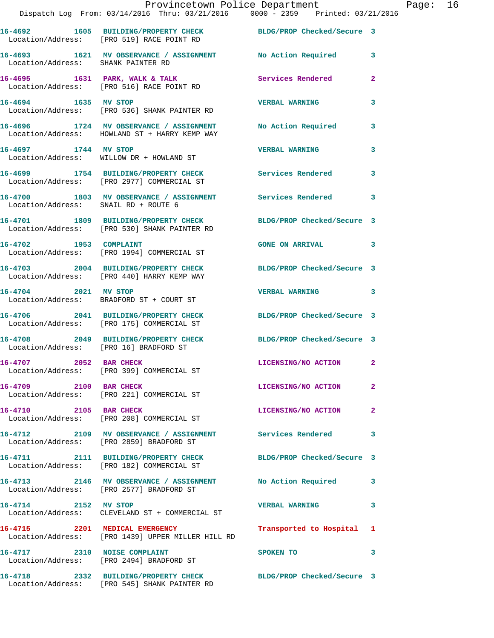|                                      | Dispatch Log From: 03/14/2016 Thru: 03/21/2016 0000 - 2359 Printed: 03/21/2016                                  | Provincetown Police Department | Page: 16     |
|--------------------------------------|-----------------------------------------------------------------------------------------------------------------|--------------------------------|--------------|
|                                      | 16-4692 1605 BUILDING/PROPERTY CHECK BLDG/PROP Checked/Secure 3<br>Location/Address: [PRO 519] RACE POINT RD    |                                |              |
| Location/Address: SHANK PAINTER RD   | 16-4693 1621 MV OBSERVANCE / ASSIGNMENT No Action Required 3                                                    |                                |              |
|                                      | 16-4695 1631 PARK, WALK & TALK 1988 Services Rendered<br>Location/Address: [PRO 516] RACE POINT RD              |                                | $\mathbf{2}$ |
| 16-4694 1635 MV STOP                 | Location/Address: [PRO 536] SHANK PAINTER RD                                                                    | <b>VERBAL WARNING</b>          | 3            |
|                                      | 16-4696 1724 MV OBSERVANCE / ASSIGNMENT No Action Required 3<br>Location/Address: HOWLAND ST + HARRY KEMP WAY   |                                |              |
|                                      | 16-4697 1744 MV STOP<br>Location/Address: WILLOW DR + HOWLAND ST                                                | <b>VERBAL WARNING</b>          | 3            |
|                                      | 16-4699 1754 BUILDING/PROPERTY CHECK Services Rendered 3<br>Location/Address: [PRO 2977] COMMERCIAL ST          |                                |              |
| Location/Address: SNAIL RD + ROUTE 6 | 16-4700 1803 MV OBSERVANCE / ASSIGNMENT Services Rendered                                                       |                                | 3            |
|                                      | 16-4701 1809 BUILDING/PROPERTY CHECK BLDG/PROP Checked/Secure 3<br>Location/Address: [PRO 530] SHANK PAINTER RD |                                |              |
|                                      | 16-4702 1953 COMPLAINT<br>Location/Address: [PRO 1994] COMMERCIAL ST                                            | GONE ON ARRIVAL 3              |              |
|                                      | 16-4703 2004 BUILDING/PROPERTY CHECK BLDG/PROP Checked/Secure 3<br>Location/Address: [PRO 440] HARRY KEMP WAY   |                                |              |
|                                      | 16-4704 2021 MV STOP<br>Location/Address: BRADFORD ST + COURT ST                                                | VERBAL WARNING 3               |              |
|                                      | 16-4706 2041 BUILDING/PROPERTY CHECK BLDG/PROP Checked/Secure 3<br>Location/Address: [PRO 175] COMMERCIAL ST    |                                |              |
|                                      | 16-4708 2049 BUILDING/PROPERTY CHECK BLDG/PROP Checked/Secure 3<br>Location/Address: [PRO 16] BRADFORD ST       |                                |              |
| 16-4707 2052 BAR CHECK               | Location/Address: [PRO 399] COMMERCIAL ST                                                                       | LICENSING/NO ACTION            |              |
| 16-4709 2100 BAR CHECK               | Location/Address: [PRO 221] COMMERCIAL ST                                                                       | LICENSING/NO ACTION            | $\mathbf{2}$ |
| 16-4710 2105 BAR CHECK               | Location/Address: [PRO 208] COMMERCIAL ST                                                                       | LICENSING/NO ACTION            | $\mathbf{2}$ |
|                                      | 16-4712 2109 MV OBSERVANCE / ASSIGNMENT Services Rendered<br>Location/Address: [PRO 2859] BRADFORD ST           |                                | 3            |
|                                      | 16-4711 2111 BUILDING/PROPERTY CHECK BLDG/PROP Checked/Secure 3<br>Location/Address: [PRO 182] COMMERCIAL ST    |                                |              |
|                                      | 16-4713 2146 MV OBSERVANCE / ASSIGNMENT No Action Required 3<br>Location/Address: [PRO 2577] BRADFORD ST        |                                |              |
| 16-4714 2152 MV STOP                 | Location/Address: CLEVELAND ST + COMMERCIAL ST                                                                  | VERBAL WARNING 3               |              |
|                                      | 16-4715 2201 MEDICAL EMERGENCY<br>Location/Address: [PRO 1439] UPPER MILLER HILL RD                             | Transported to Hospital 1      |              |
| 16-4717 2310 NOISE COMPLAINT         | Location/Address: [PRO 2494] BRADFORD ST                                                                        | SPOKEN TO                      | 3            |
|                                      | 16-4718 2332 BUILDING/PROPERTY CHECK BLDG/PROP Checked/Secure 3<br>Location/Address: [PRO 545] SHANK PAINTER RD |                                |              |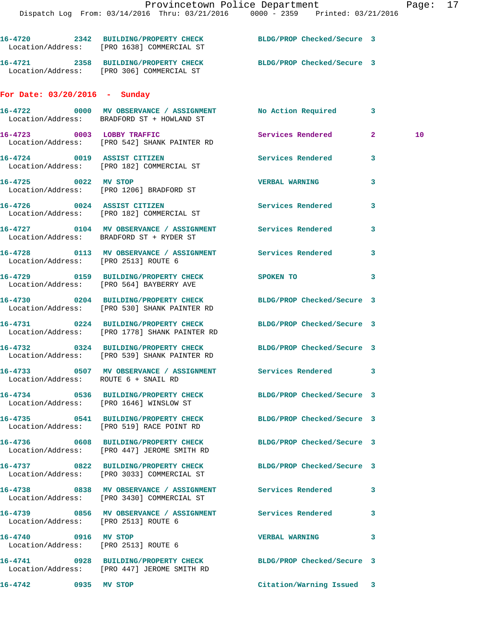|                                                              | 16-4720 2342 BUILDING/PROPERTY CHECK BLDG/PROP Checked/Secure 3<br>Location/Address: [PRO 1638] COMMERCIAL ST    |                            |                            |  |
|--------------------------------------------------------------|------------------------------------------------------------------------------------------------------------------|----------------------------|----------------------------|--|
|                                                              | 16-4721 2358 BUILDING/PROPERTY CHECK BLDG/PROP Checked/Secure 3<br>Location/Address: [PRO 306] COMMERCIAL ST     |                            |                            |  |
| For Date: $03/20/2016$ - Sunday                              |                                                                                                                  |                            |                            |  |
|                                                              | 16-4722 0000 MV OBSERVANCE / ASSIGNMENT No Action Required 3<br>Location/Address: BRADFORD ST + HOWLAND ST       |                            |                            |  |
|                                                              | 16-4723 0003 LOBBY TRAFFIC<br>Location/Address: [PRO 542] SHANK PAINTER RD                                       | Services Rendered 2        | 10                         |  |
|                                                              | 16-4724 0019 ASSIST CITIZEN<br>Location/Address: [PRO 182] COMMERCIAL ST                                         | Services Rendered          | 3                          |  |
| 16-4725 0022 MV STOP                                         | Location/Address: [PRO 1206] BRADFORD ST                                                                         | <b>VERBAL WARNING</b>      | 3                          |  |
|                                                              | 16-4726 0024 ASSIST CITIZEN<br>Location/Address: [PRO 182] COMMERCIAL ST                                         | <b>Services Rendered</b>   | 3                          |  |
|                                                              | 16-4727 0104 MV OBSERVANCE / ASSIGNMENT Services Rendered<br>Location/Address: BRADFORD ST + RYDER ST            |                            | 3                          |  |
| Location/Address: [PRO 2513] ROUTE 6                         | 16-4728 		 0113 MV OBSERVANCE / ASSIGNMENT Services Rendered                                                     |                            | 3                          |  |
|                                                              | 16-4729 0159 BUILDING/PROPERTY CHECK SPOKEN TO<br>Location/Address: [PRO 564] BAYBERRY AVE                       |                            | $\overline{\phantom{a}}$ 3 |  |
|                                                              | 16-4730 0204 BUILDING/PROPERTY CHECK BLDG/PROP Checked/Secure 3<br>Location/Address: [PRO 530] SHANK PAINTER RD  |                            |                            |  |
|                                                              | 16-4731 0224 BUILDING/PROPERTY CHECK BLDG/PROP Checked/Secure 3<br>Location/Address: [PRO 1778] SHANK PAINTER RD |                            |                            |  |
|                                                              | 16-4732 0324 BUILDING/PROPERTY CHECK BLDG/PROP Checked/Secure 3<br>Location/Address: [PRO 539] SHANK PAINTER RD  |                            |                            |  |
| Location/Address: ROUTE 6 + SNAIL RD                         | 16-4733 0507 MV OBSERVANCE / ASSIGNMENT Services Rendered                                                        |                            | 3                          |  |
|                                                              | 16-4734 0536 BUILDING/PROPERTY CHECK<br>Location/Address: [PRO 1646] WINSLOW ST                                  | BLDG/PROP Checked/Secure 3 |                            |  |
|                                                              | 16-4735 0541 BUILDING/PROPERTY CHECK<br>Location/Address: [PRO 519] RACE POINT RD                                | BLDG/PROP Checked/Secure 3 |                            |  |
|                                                              | 16-4736 0608 BUILDING/PROPERTY CHECK BLDG/PROP Checked/Secure 3<br>Location/Address: [PRO 447] JEROME SMITH RD   |                            |                            |  |
|                                                              | 16-4737 0822 BUILDING/PROPERTY CHECK<br>Location/Address: [PRO 3033] COMMERCIAL ST                               | BLDG/PROP Checked/Secure 3 |                            |  |
|                                                              | 16-4738 6838 MV OBSERVANCE / ASSIGNMENT Services Rendered<br>Location/Address: [PRO 3430] COMMERCIAL ST          |                            | 3                          |  |
| Location/Address: [PRO 2513] ROUTE 6                         | 16-4739 6856 MV OBSERVANCE / ASSIGNMENT Services Rendered                                                        |                            | 3                          |  |
| 16-4740 0916 MV STOP<br>Location/Address: [PRO 2513] ROUTE 6 |                                                                                                                  | <b>VERBAL WARNING</b>      | 3                          |  |
|                                                              | 16-4741 0928 BUILDING/PROPERTY CHECK BLDG/PROP Checked/Secure 3<br>Location/Address: [PRO 447] JEROME SMITH RD   |                            |                            |  |
| 16-4742 0935 MV STOP                                         |                                                                                                                  | Citation/Warning Issued 3  |                            |  |
|                                                              |                                                                                                                  |                            |                            |  |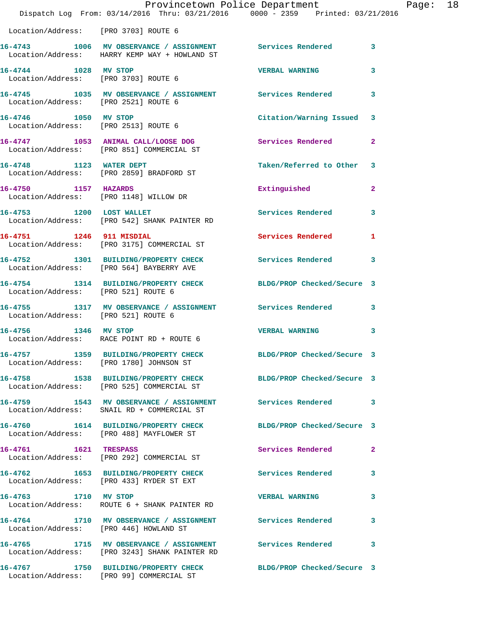|                                                              | Dispatch Log From: 03/14/2016 Thru: 03/21/2016 0000 - 2359 Printed: 03/21/2016                               | Provincetown Police Department |                         | Page: 18 |  |
|--------------------------------------------------------------|--------------------------------------------------------------------------------------------------------------|--------------------------------|-------------------------|----------|--|
| Location/Address: [PRO 3703] ROUTE 6                         |                                                                                                              |                                |                         |          |  |
|                                                              | 16-4743 1006 MV OBSERVANCE / ASSIGNMENT Services Rendered 3<br>Location/Address: HARRY KEMP WAY + HOWLAND ST |                                |                         |          |  |
| 16-4744 1028 MV STOP<br>Location/Address: [PRO 3703] ROUTE 6 |                                                                                                              | <b>VERBAL WARNING</b>          | $\mathbf{3}$            |          |  |
| Location/Address: [PRO 2521] ROUTE 6                         | 16-4745 1035 MV OBSERVANCE / ASSIGNMENT Services Rendered 3                                                  |                                |                         |          |  |
| 16-4746 1050 MV STOP<br>Location/Address: [PRO 2513] ROUTE 6 |                                                                                                              | Citation/Warning Issued 3      |                         |          |  |
|                                                              | 16-4747 1053 ANIMAL CALL/LOOSE DOG<br>Location/Address: [PRO 851] COMMERCIAL ST                              | Services Rendered 2            |                         |          |  |
|                                                              | 16-4748 1123 WATER DEPT<br>Location/Address: [PRO 2859] BRADFORD ST                                          | Taken/Referred to Other 3      |                         |          |  |
| 16-4750 1157 HAZARDS                                         | Location/Address: [PRO 1148] WILLOW DR                                                                       | Extinguished                   | $\overline{2}$          |          |  |
|                                                              | 16-4753 1200 LOST WALLET<br>Location/Address: [PRO 542] SHANK PAINTER RD                                     | Services Rendered              | $\overline{\mathbf{3}}$ |          |  |
|                                                              | 16-4751 1246 911 MISDIAL<br>Location/Address: [PRO 3175] COMMERCIAL ST                                       | Services Rendered              | $\mathbf{1}$            |          |  |
|                                                              | 16-4752 1301 BUILDING/PROPERTY CHECK Services Rendered 3<br>Location/Address: [PRO 564] BAYBERRY AVE         |                                |                         |          |  |
| Location/Address: [PRO 521] ROUTE 6                          | 16-4754 1314 BUILDING/PROPERTY CHECK BLDG/PROP Checked/Secure 3                                              |                                |                         |          |  |
| Location/Address: [PRO 521] ROUTE 6                          | 16-4755 1317 MV OBSERVANCE / ASSIGNMENT Services Rendered 3                                                  |                                |                         |          |  |
| 16-4756 1346 MV STOP                                         | Location/Address: RACE POINT RD + ROUTE 6                                                                    | VERBAL WARNING 3               |                         |          |  |
|                                                              | 16-4757 1359 BUILDING/PROPERTY CHECK BLDG/PROP Checked/Secure 3<br>Location/Address: [PRO 1780] JOHNSON ST   |                                |                         |          |  |
|                                                              | 16-4758 1538 BUILDING/PROPERTY CHECK BLDG/PROP Checked/Secure 3<br>Location/Address: [PRO 525] COMMERCIAL ST |                                |                         |          |  |
|                                                              | 16-4759 1543 MV OBSERVANCE / ASSIGNMENT Services Rendered 3<br>Location/Address: SNAIL RD + COMMERCIAL ST    |                                |                         |          |  |
|                                                              | 16-4760 1614 BUILDING/PROPERTY CHECK BLDG/PROP Checked/Secure 3<br>Location/Address: [PRO 488] MAYFLOWER ST  |                                |                         |          |  |
| 16-4761 1621 TRESPASS                                        | Location/Address: [PRO 292] COMMERCIAL ST                                                                    | Services Rendered              | $\mathbf{2}$            |          |  |
|                                                              | 16-4762 1653 BUILDING/PROPERTY CHECK Services Rendered 3<br>Location/Address: [PRO 433] RYDER ST EXT         |                                |                         |          |  |
| 16-4763 1710 MV STOP                                         | Location/Address: ROUTE 6 + SHANK PAINTER RD                                                                 | VERBAL WARNING 3               |                         |          |  |
| Location/Address: [PRO 446] HOWLAND ST                       | 16-4764 1710 MV OBSERVANCE / ASSIGNMENT Services Rendered 3                                                  |                                |                         |          |  |
|                                                              | 16-4765 1715 MV OBSERVANCE / ASSIGNMENT Services Rendered 3<br>Location/Address: [PRO 3243] SHANK PAINTER RD |                                |                         |          |  |
|                                                              | 16-4767 1750 BUILDING/PROPERTY CHECK BLDG/PROP Checked/Secure 3<br>Location/Address: [PRO 99] COMMERCIAL ST  |                                |                         |          |  |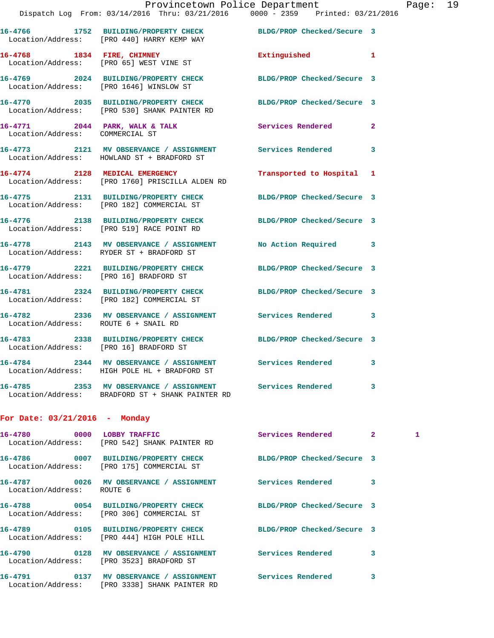|                                                                       | Provincetown Police Department<br>Dispatch Log From: 03/14/2016 Thru: 03/21/2016 0000 - 2359 Printed: 03/21/2016 |                            |   |
|-----------------------------------------------------------------------|------------------------------------------------------------------------------------------------------------------|----------------------------|---|
|                                                                       | Location/Address: [PRO 440] HARRY KEMP WAY                                                                       | BLDG/PROP Checked/Secure 3 |   |
| 16-4768 1834 FIRE, CHIMNEY<br>Location/Address: [PRO 65] WEST VINE ST |                                                                                                                  | Extinguished               | 1 |
| Location/Address: [PRO 1646] WINSLOW ST                               | 16-4769 2024 BUILDING/PROPERTY CHECK                                                                             | BLDG/PROP Checked/Secure 3 |   |
| 16-4770                                                               | 2035 BUILDING/PROPERTY CHECK<br>Location/Address: [PRO 530] SHANK PAINTER RD                                     | BLDG/PROP Checked/Secure 3 |   |
| 16-4771 2044 PARK, WALK & TALK<br>Location/Address: COMMERCIAL ST     |                                                                                                                  | Services Rendered          | 2 |
| 16-4773<br>2121                                                       | MV OBSERVANCE / ASSIGNMENT                                                                                       | Services Rendered          | 3 |

**16-4774 2128 MEDICAL EMERGENCY Transported to Hospital 1**  Location/Address: [PRO 1760] PRISCILLA ALDEN RD

**16-4775 2131 BUILDING/PROPERTY CHECK BLDG/PROP Checked/Secure 3**  Location/Address: [PRO 182] COMMERCIAL ST

**16-4776 2138 BUILDING/PROPERTY CHECK BLDG/PROP Checked/Secure 3**  Location/Address: [PRO 519] RACE POINT RD

**16-4778 2143 MV OBSERVANCE / ASSIGNMENT No Action Required 3**  Location/Address: RYDER ST + BRADFORD ST

**16-4779 2221 BUILDING/PROPERTY CHECK BLDG/PROP Checked/Secure 3**  Location/Address: [PRO 16] BRADFORD ST

**16-4781 2324 BUILDING/PROPERTY CHECK BLDG/PROP Checked/Secure 3**  Location/Address: [PRO 182] COMMERCIAL ST

**16-4782 2336 MV OBSERVANCE / ASSIGNMENT Services Rendered 3**  Location/Address: ROUTE 6 + SNAIL RD

**16-4783 2338 BUILDING/PROPERTY CHECK BLDG/PROP Checked/Secure 3**  Location/Address: [PRO 16] BRADFORD ST

**16-4784 2344 MV OBSERVANCE / ASSIGNMENT Services Rendered 3**  Location/Address: HIGH POLE HL + BRADFORD ST

Location/Address: HOWLAND ST + BRADFORD ST

**16-4785 2353 MV OBSERVANCE / ASSIGNMENT Services Rendered 3**  Location/Address: BRADFORD ST + SHANK PAINTER RD

## **For Date: 03/21/2016 - Monday**

| 16-4780 0000 LOBBY TRAFFIC | Location/Address: [PRO 542] SHANK PAINTER RD                                                                  | Services Rendered          | $\overline{2}$ | $\mathbf{1}$ |
|----------------------------|---------------------------------------------------------------------------------------------------------------|----------------------------|----------------|--------------|
|                            | 16-4786  0007 BUILDING/PROPERTY CHECK BLDG/PROP Checked/Secure 3<br>Location/Address: [PRO 175] COMMERCIAL ST |                            |                |              |
| Location/Address: ROUTE 6  | 16-4787                0026     MV OBSERVANCE  /  ASSIGNMENT                  Services Rendered               |                            | 3              |              |
|                            | Location/Address: [PRO 306] COMMERCIAL ST                                                                     | BLDG/PROP Checked/Secure 3 |                |              |
|                            | 16-4789 0105 BUILDING/PROPERTY CHECK BLDG/PROP Checked/Secure 3<br>Location/Address: [PRO 444] HIGH POLE HILL |                            |                |              |
|                            | Location/Address: [PRO 3523] BRADFORD ST                                                                      | <b>Services Rendered</b>   | 3              |              |
|                            | Location/Address: [PRO 3338] SHANK PAINTER RD                                                                 |                            | 3              |              |